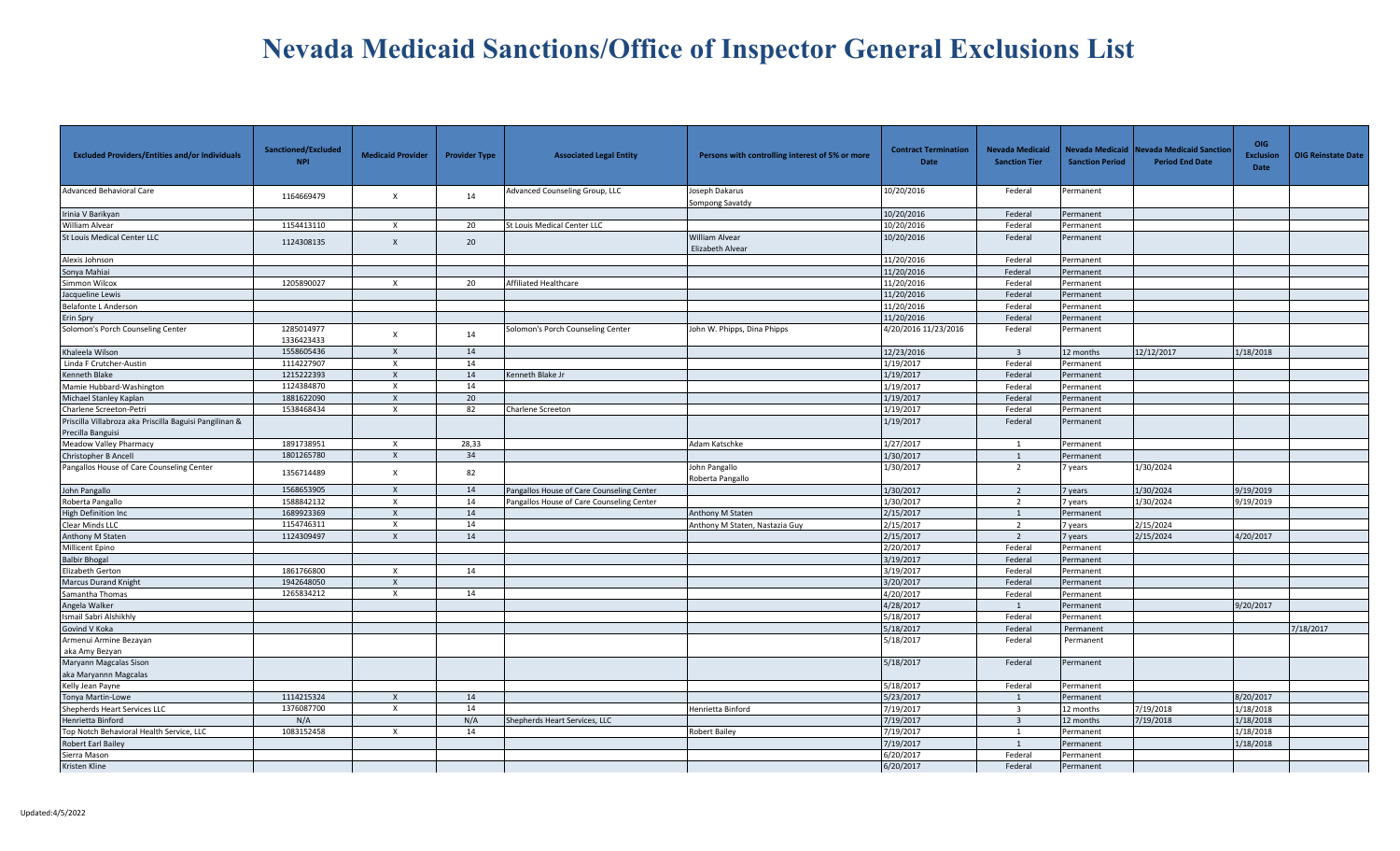| <b>Excluded Providers/Entities and/or Individuals</b>                        | Sanctioned/Excluded<br><b>NPI</b> | <b>Medicaid Provider</b>  | <b>Provider Type</b> | <b>Associated Legal Entity</b>            | Persons with controlling interest of 5% or more | <b>Contract Termination</b><br><b>Date</b> | <b>Nevada Medicaid</b><br><b>Sanction Tier</b> | <b>Sanction Period</b> | Nevada Medicaid Nevada Medicaid Sanctior<br><b>Period End Date</b> | <b>OIG</b><br><b>Exclusion</b><br>Date | <b>OIG Reinstate Date</b> |
|------------------------------------------------------------------------------|-----------------------------------|---------------------------|----------------------|-------------------------------------------|-------------------------------------------------|--------------------------------------------|------------------------------------------------|------------------------|--------------------------------------------------------------------|----------------------------------------|---------------------------|
| Advanced Behavioral Care                                                     | 1164669479                        | $\boldsymbol{\mathsf{x}}$ | 14                   | Advanced Counseling Group, LLC            | Joseph Dakarus<br>Sompong Savatdy               | 10/20/2016                                 | Federal                                        | Permanent              |                                                                    |                                        |                           |
| Irinia V Barikyan                                                            |                                   |                           |                      |                                           |                                                 | 10/20/2016                                 | Federal                                        | Permanent              |                                                                    |                                        |                           |
| William Alvear                                                               | 1154413110                        | $\boldsymbol{\mathsf{x}}$ | 20                   | St Louis Medical Center LLC               |                                                 | 10/20/2016                                 | Federal                                        | Permanent              |                                                                    |                                        |                           |
| <b>St Louis Medical Center LLC</b>                                           | 1124308135                        | $\boldsymbol{\mathsf{x}}$ | 20                   |                                           | <b>William Alvear</b><br>Elizabeth Alvear       | 10/20/2016                                 | Federal                                        | Permanent              |                                                                    |                                        |                           |
| Alexis Johnson                                                               |                                   |                           |                      |                                           |                                                 | 11/20/2016                                 | Federal                                        | Permanent              |                                                                    |                                        |                           |
| Sonya Mahiai                                                                 |                                   |                           |                      |                                           |                                                 | 11/20/2016                                 | Federal                                        | Permanent              |                                                                    |                                        |                           |
| Simmon Wilcox                                                                | 1205890027                        | $\boldsymbol{\mathsf{x}}$ | 20                   | Affiliated Healthcare                     |                                                 | 11/20/2016                                 | Federal                                        | Permanent              |                                                                    |                                        |                           |
| Jacqueline Lewis                                                             |                                   |                           |                      |                                           |                                                 | 11/20/2016                                 | Federal                                        | Permanent              |                                                                    |                                        |                           |
| <b>Belafonte L Anderson</b>                                                  |                                   |                           |                      |                                           |                                                 | 11/20/2016                                 | Federal                                        | Permanent              |                                                                    |                                        |                           |
| Erin Spry                                                                    |                                   |                           |                      |                                           |                                                 | 11/20/2016                                 | Federal                                        | Permanent              |                                                                    |                                        |                           |
| Solomon's Porch Counseling Center                                            | 1285014977<br>1336423433          | $\times$                  | 14                   | Solomon's Porch Counseling Center         | John W. Phipps, Dina Phipps                     | 4/20/2016 11/23/2016                       | Federal                                        | Permanent              |                                                                    |                                        |                           |
| Khaleela Wilson                                                              | 1558605436                        | $\times$                  | 14                   |                                           |                                                 | 12/23/2016                                 | $\overline{\mathbf{3}}$                        | 12 months              | 12/12/2017                                                         | 1/18/2018                              |                           |
| Linda F Crutcher-Austin                                                      | 1114227907                        | $\times$                  | 14                   |                                           |                                                 | 1/19/2017                                  | Federal                                        | Permanent              |                                                                    |                                        |                           |
| <b>Kenneth Blake</b>                                                         | 1215222393                        | $\mathsf{x}$              | 14                   | Cenneth Blake Jr                          |                                                 | 1/19/2017                                  | Federal                                        | Permanent              |                                                                    |                                        |                           |
| Mamie Hubbard-Washington                                                     | 1124384870                        | $\boldsymbol{\mathsf{x}}$ | 14                   |                                           |                                                 | 1/19/2017                                  | Federal                                        | Permanent              |                                                                    |                                        |                           |
| Michael Stanley Kaplan                                                       | 1881622090                        | $\boldsymbol{\mathsf{x}}$ | 20                   |                                           |                                                 | 1/19/2017                                  | Federal                                        | Permanent              |                                                                    |                                        |                           |
| Charlene Screeton-Petri                                                      | 1538468434                        | $\boldsymbol{\mathsf{x}}$ | 82                   | Charlene Screeton                         |                                                 | 1/19/2017                                  | Federal                                        | Permanent              |                                                                    |                                        |                           |
| Priscilla Villabroza aka Priscilla Baguisi Pangilinan &<br>Precilla Banguisi |                                   |                           |                      |                                           |                                                 | 1/19/2017                                  | Federal                                        | Permanent              |                                                                    |                                        |                           |
| Meadow Valley Pharmacy                                                       | 1891738951                        | $\mathsf{x}$              | 28,33                |                                           | Adam Katschke                                   | 1/27/2017                                  | 1                                              | Permanent              |                                                                    |                                        |                           |
| Christopher B Ancell                                                         | 1801265780                        | $\boldsymbol{\mathsf{x}}$ | 34                   |                                           |                                                 | 1/30/2017                                  | 1                                              | Permanent              |                                                                    |                                        |                           |
| Pangallos House of Care Counseling Center                                    | 1356714489                        | $\mathsf{x}$              | 82                   |                                           | John Pangallo<br>Roberta Pangallo               | 1/30/2017                                  | 2                                              | years                  | 1/30/2024                                                          |                                        |                           |
| John Pangallo                                                                | 1568653905                        | $\mathsf{x}$              | 14                   | Pangallos House of Care Counseling Center |                                                 | 1/30/2017                                  | 2                                              | vears                  | 1/30/2024                                                          | 9/19/2019                              |                           |
| Roberta Pangallo                                                             | 1588842132                        | $\times$                  | 14                   | Pangallos House of Care Counseling Center |                                                 | 1/30/2017                                  | $\overline{2}$                                 | 7 years                | 1/30/2024                                                          | 9/19/2019                              |                           |
| <b>High Definition Inc.</b>                                                  | 1689923369                        | $\boldsymbol{\mathsf{X}}$ | 14                   |                                           | Anthony M Staten                                | 2/15/2017                                  | 1                                              | Permanent              |                                                                    |                                        |                           |
| Clear Minds LLC                                                              | 1154746311                        | $\times$                  | 14                   |                                           | Anthony M Staten, Nastazia Guy                  | 2/15/2017                                  | $\overline{2}$                                 | vears                  | 2/15/2024                                                          |                                        |                           |
| Anthony M Staten                                                             | 1124309497                        | $\times$                  | 14                   |                                           |                                                 | 2/15/2017                                  | $\overline{2}$                                 | 7 years                | 2/15/2024                                                          | 4/20/2017                              |                           |
| Millicent Epino                                                              |                                   |                           |                      |                                           |                                                 | 2/20/2017                                  | Federal                                        | Permanent              |                                                                    |                                        |                           |
| <b>Balbir Bhogal</b>                                                         |                                   |                           |                      |                                           |                                                 | 3/19/2017                                  | Federal                                        | Permanent              |                                                                    |                                        |                           |
| Elizabeth Gerton                                                             | 1861766800                        | $\times$                  | 14                   |                                           |                                                 | 3/19/2017                                  | Federal                                        | Permanent              |                                                                    |                                        |                           |
| <b>Marcus Durand Knight</b>                                                  | 1942648050                        | $\boldsymbol{\mathsf{X}}$ |                      |                                           |                                                 | 3/20/2017                                  | Federal                                        | Permanent              |                                                                    |                                        |                           |
| Samantha Thomas                                                              | 1265834212                        | $\times$                  | 14                   |                                           |                                                 | 4/20/2017                                  | Federal                                        | Permanent              |                                                                    |                                        |                           |
| Angela Walker                                                                |                                   |                           |                      |                                           |                                                 | 4/28/2017                                  | 1                                              | Permanent              |                                                                    | 9/20/2017                              |                           |
| Ismail Sabri Alshikhly                                                       |                                   |                           |                      |                                           |                                                 | 5/18/2017                                  | Federal                                        | Permanent              |                                                                    |                                        |                           |
| Govind V Koka                                                                |                                   |                           |                      |                                           |                                                 | 5/18/2017                                  | Federal                                        | Permanent              |                                                                    |                                        | 7/18/2017                 |
| Armenui Armine Bezayan                                                       |                                   |                           |                      |                                           |                                                 | 5/18/2017                                  | Federal                                        | Permanent              |                                                                    |                                        |                           |
| aka Amy Bezyan                                                               |                                   |                           |                      |                                           |                                                 |                                            |                                                |                        |                                                                    |                                        |                           |
| Maryann Magcalas Sison                                                       |                                   |                           |                      |                                           |                                                 | 5/18/2017                                  | Federal                                        | Permanent              |                                                                    |                                        |                           |
| aka Maryannn Magcalas                                                        |                                   |                           |                      |                                           |                                                 |                                            |                                                |                        |                                                                    |                                        |                           |
| Kelly Jean Payne                                                             |                                   |                           |                      |                                           |                                                 | 5/18/2017                                  | Federal                                        | Permanent              |                                                                    |                                        |                           |
| Tonya Martin-Lowe                                                            | 1114215324                        | $\boldsymbol{\mathsf{x}}$ | 14                   |                                           |                                                 | 5/23/2017                                  |                                                | Permanent              |                                                                    | 8/20/2017                              |                           |
| Shepherds Heart Services LLC                                                 | 1376087700                        | $\boldsymbol{\mathsf{x}}$ | 14                   |                                           | Henrietta Binford                               | 7/19/2017                                  | $\overline{\mathbf{3}}$                        | 12 months              | 7/19/2018                                                          | 1/18/2018                              |                           |
| Henrietta Binford                                                            | N/A                               |                           | N/A                  | Shepherds Heart Services, LLC             |                                                 | 7/19/2017                                  | $\overline{3}$                                 | 12 months              | 7/19/2018                                                          | 1/18/2018                              |                           |
| Top Notch Behavioral Health Service, LLC                                     | 1083152458                        | $\mathsf{x}$              | 14                   |                                           | <b>Robert Bailey</b>                            | 7/19/2017                                  | $\mathbf{1}$                                   | Permanent              |                                                                    | 1/18/2018                              |                           |
| <b>Robert Earl Bailey</b>                                                    |                                   |                           |                      |                                           |                                                 | 7/19/2017                                  | $\overline{1}$                                 | Permanent              |                                                                    | 1/18/2018                              |                           |
| Sierra Mason                                                                 |                                   |                           |                      |                                           |                                                 | 6/20/2017                                  | Federal                                        | Permanent              |                                                                    |                                        |                           |
| Kristen Kline                                                                |                                   |                           |                      |                                           |                                                 | 6/20/2017                                  | Federal                                        | Permanent              |                                                                    |                                        |                           |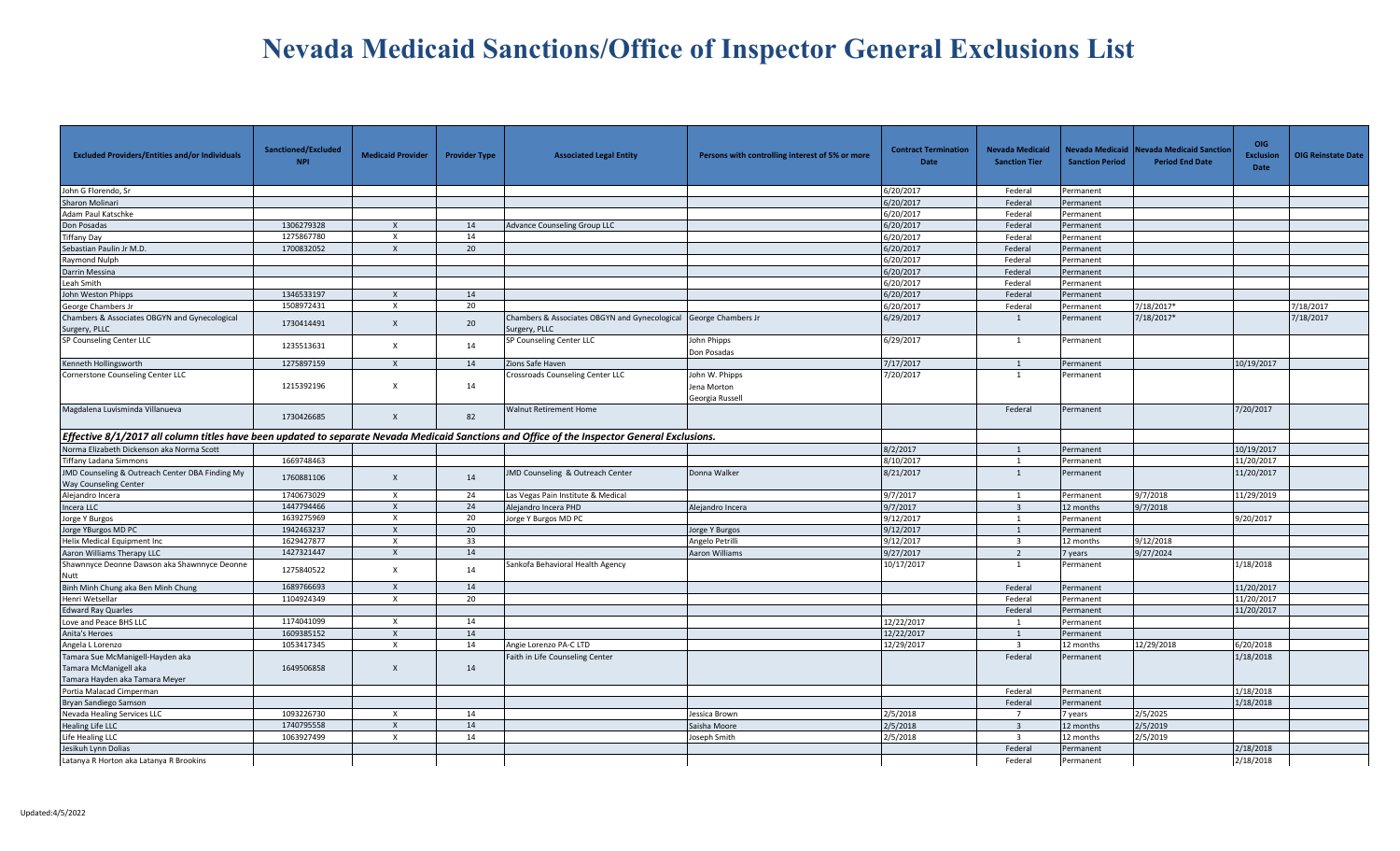| <b>Excluded Providers/Entities and/or Individuals</b>                                                                                        | Sanctioned/Excluded<br><b>NPI</b> | <b>Medicaid Provider</b>  | <b>Provider Type</b> | <b>Associated Legal Entity</b>                                                    | Persons with controlling interest of 5% or more  | <b>Contract Termination</b><br>Date | <b>Nevada Medicaid</b><br><b>Sanction Tier</b> | <b>Sanction Period</b> | Nevada Medicaid Nevada Medicaid Sanction<br><b>Period End Date</b> | <b>OIG</b><br><b>Exclusion</b><br>Date | <b>OIG Reinstate Date</b> |
|----------------------------------------------------------------------------------------------------------------------------------------------|-----------------------------------|---------------------------|----------------------|-----------------------------------------------------------------------------------|--------------------------------------------------|-------------------------------------|------------------------------------------------|------------------------|--------------------------------------------------------------------|----------------------------------------|---------------------------|
| John G Florendo, Sr                                                                                                                          |                                   |                           |                      |                                                                                   |                                                  | 6/20/2017                           | Federal                                        | Permanent              |                                                                    |                                        |                           |
| Sharon Molinari                                                                                                                              |                                   |                           |                      |                                                                                   |                                                  | 6/20/2017                           | Federal                                        | Permanent              |                                                                    |                                        |                           |
| Adam Paul Katschke                                                                                                                           |                                   |                           |                      |                                                                                   |                                                  | 6/20/2017                           | Federal                                        | Permanent              |                                                                    |                                        |                           |
| Don Posadas                                                                                                                                  | 1306279328                        | X                         | 14                   | Advance Counseling Group LLC                                                      |                                                  | 6/20/2017                           | Federal                                        | Permanent              |                                                                    |                                        |                           |
| Tiffany Day                                                                                                                                  | 1275867780                        | $\boldsymbol{\mathsf{X}}$ | 14                   |                                                                                   |                                                  | 6/20/2017                           | Federal                                        | Permanent              |                                                                    |                                        |                           |
| Sebastian Paulin Jr M.D.                                                                                                                     | 1700832052                        | $\times$                  | 20                   |                                                                                   |                                                  | 6/20/2017                           | Federal                                        | Permanent              |                                                                    |                                        |                           |
| Raymond Nulph                                                                                                                                |                                   |                           |                      |                                                                                   |                                                  | 6/20/2017                           | Federal                                        | Permanent              |                                                                    |                                        |                           |
| Darrin Messina                                                                                                                               |                                   |                           |                      |                                                                                   |                                                  | 6/20/2017                           | Federal                                        | Permanent              |                                                                    |                                        |                           |
| Leah Smith                                                                                                                                   |                                   |                           |                      |                                                                                   |                                                  | 6/20/2017                           | Federal                                        | Permanent              |                                                                    |                                        |                           |
| John Weston Phipps                                                                                                                           | 1346533197                        | $\mathsf{X}$              | 14                   |                                                                                   |                                                  | 6/20/2017                           | Federal                                        | Permanent              |                                                                    |                                        |                           |
| George Chambers Jr                                                                                                                           | 1508972431                        | $\times$                  | 20                   |                                                                                   |                                                  | 6/20/2017                           | Federal                                        | Permanent              | 1/18/2017*                                                         |                                        | 7/18/2017                 |
| Chambers & Associates OBGYN and Gynecological<br>Surgery, PLLC                                                                               | 1730414491                        | $\times$                  | 20                   | Chambers & Associates OBGYN and Gynecological George Chambers Jr<br>Surgery, PLLC |                                                  | 6/29/2017                           | 1                                              | Permanent              | 7/18/2017*                                                         |                                        | 7/18/2017                 |
| SP Counseling Center LLC                                                                                                                     | 1235513631                        | $\times$                  | 14                   | SP Counseling Center LLC                                                          | John Phipps<br>Don Posadas                       | 6/29/2017                           | 1                                              | Permanent              |                                                                    |                                        |                           |
| Kenneth Hollingsworth                                                                                                                        | 1275897159                        | $\mathsf{X}$              | 14                   | Zions Safe Haven                                                                  |                                                  | 7/17/2017                           | $\overline{1}$                                 | Permanent              |                                                                    | 10/19/2017                             |                           |
| Cornerstone Counseling Center LLC                                                                                                            | 1215392196                        | $\times$                  | 14                   | Crossroads Counseling Center LLC                                                  | John W. Phipps<br>Jena Morton<br>Georgia Russell | 7/20/2017                           | -1                                             | Permanent              |                                                                    |                                        |                           |
| Magdalena Luvisminda Villanueva                                                                                                              | 1730426685                        | $\mathsf{X}$              | 82                   | <b>Walnut Retirement Home</b>                                                     |                                                  |                                     | Federal                                        | Permanent              |                                                                    | 7/20/2017                              |                           |
| Effective 8/1/2017 all column titles have been updated to separate Nevada Medicaid Sanctions and Office of the Inspector General Exclusions. |                                   |                           |                      |                                                                                   |                                                  |                                     |                                                |                        |                                                                    |                                        |                           |
| Norma Elizabeth Dickenson aka Norma Scott                                                                                                    |                                   |                           |                      |                                                                                   |                                                  | 8/2/2017                            | $\mathbf{1}$                                   | Permanent              |                                                                    | 10/19/2017                             |                           |
| Tiffany Ladana Simmons                                                                                                                       | 1669748463                        |                           |                      |                                                                                   |                                                  | 8/10/2017                           | $\overline{1}$                                 | Permanent              |                                                                    | 11/20/2017                             |                           |
| <b>JMD Counseling &amp; Outreach Center DBA Finding My</b><br>Way Counseling Center                                                          | 1760881106                        | $\times$                  | 14                   | JMD Counseling & Outreach Center                                                  | Donna Walker                                     | 8/21/2017                           | $\overline{1}$                                 | Permanent              |                                                                    | 11/20/2017                             |                           |
| Alejandro Incera                                                                                                                             | 1740673029                        | $\times$                  | 24                   | Las Vegas Pain Institute & Medical                                                |                                                  | 9/7/2017                            | 1                                              | Permanent              | 9/7/2018                                                           | 11/29/2019                             |                           |
| Incera LLC                                                                                                                                   | 1447794466                        | $\mathsf{x}$              | 24                   | Alejandro Incera PHD                                                              | Alejandro Incera                                 | 9/7/2017                            | $\overline{3}$                                 | 12 months              | 9/7/2018                                                           |                                        |                           |
| Jorge Y Burgos                                                                                                                               | 1639275969                        | $\times$                  | 20                   | Jorge Y Burgos MD PC                                                              |                                                  | 9/12/2017                           | $\mathbf{1}$                                   | Permanent              |                                                                    | 9/20/2017                              |                           |
| Jorge YBurgos MD PC                                                                                                                          | 1942463237                        | $\mathsf{X}$              | 20                   |                                                                                   | Jorge Y Burgos                                   | 9/12/2017                           | $\mathbf{1}$                                   | Permanent              |                                                                    |                                        |                           |
| Helix Medical Equipment Inc                                                                                                                  | 1629427877                        | $\boldsymbol{\mathsf{X}}$ | 33                   |                                                                                   | Angelo Petrilli                                  | 9/12/2017                           | $\overline{\mathbf{3}}$                        | 12 months              | 9/12/2018                                                          |                                        |                           |
| Aaron Williams Therapy LLC                                                                                                                   | 1427321447                        | $\mathsf{X}$              | 14                   |                                                                                   | Aaron Williams                                   | 9/27/2017                           | $\overline{2}$                                 | vears                  | 9/27/2024                                                          |                                        |                           |
| Shawnnyce Deonne Dawson aka Shawnnyce Deonne<br>Nutt                                                                                         | 1275840522                        | $\times$                  | 14                   | Sankofa Behavioral Health Agency                                                  |                                                  | 10/17/2017                          | 1                                              | Permanent              |                                                                    | 1/18/2018                              |                           |
| Binh Minh Chung aka Ben Minh Chung                                                                                                           | 1689766693                        | $\mathsf{X}$              | 14                   |                                                                                   |                                                  |                                     | Federal                                        | Permanent              |                                                                    | 11/20/2017                             |                           |
| Henri Wetsellar                                                                                                                              | 1104924349                        | $\boldsymbol{\mathsf{X}}$ | 20                   |                                                                                   |                                                  |                                     | Federal                                        | Permanent              |                                                                    | 11/20/2017                             |                           |
| <b>Edward Ray Quarles</b>                                                                                                                    |                                   |                           |                      |                                                                                   |                                                  |                                     | Federal                                        | Permanent              |                                                                    | 11/20/2017                             |                           |
| Love and Peace BHS LLC                                                                                                                       | 1174041099                        | $\times$                  | 14                   |                                                                                   |                                                  | 12/22/2017                          | 1                                              | Permanent              |                                                                    |                                        |                           |
| Anita's Heroes                                                                                                                               | 1609385152                        | $\mathsf{x}$              | 14                   |                                                                                   |                                                  | 12/22/2017                          | $\overline{1}$                                 | Permanent              |                                                                    |                                        |                           |
| Angela L Lorenzo                                                                                                                             | 1053417345                        | $\times$                  | 14                   | Angie Lorenzo PA-C LTD                                                            |                                                  | 12/29/2017                          | $\overline{3}$                                 | 12 months              | 12/29/2018                                                         | 6/20/2018                              |                           |
| Tamara Sue McManigell-Hayden aka                                                                                                             |                                   |                           |                      | Faith in Life Counseling Center                                                   |                                                  |                                     | Federal                                        | Permanent              |                                                                    | 1/18/2018                              |                           |
| Tamara McManigell aka                                                                                                                        | 1649506858                        | $\mathsf{X}$              | 14                   |                                                                                   |                                                  |                                     |                                                |                        |                                                                    |                                        |                           |
| Tamara Hayden aka Tamara Meyer                                                                                                               |                                   |                           |                      |                                                                                   |                                                  |                                     |                                                |                        |                                                                    |                                        |                           |
| Portia Malacad Cimperman                                                                                                                     |                                   |                           |                      |                                                                                   |                                                  |                                     | Federal                                        | Permanent              |                                                                    | 1/18/2018                              |                           |
| Bryan Sandiego Samson                                                                                                                        |                                   |                           |                      |                                                                                   |                                                  |                                     | Federal                                        | Permanent              |                                                                    | 1/18/2018                              |                           |
| Nevada Healing Services LLC                                                                                                                  | 1093226730                        | $\times$                  | 14                   |                                                                                   | lessica Brown                                    | 2/5/2018                            | $\overline{7}$                                 | 'years                 | 2/5/2025                                                           |                                        |                           |
| <b>Healing Life LLC</b>                                                                                                                      | 1740795558                        | $\mathsf{X}$              | 14                   |                                                                                   | Saisha Moore                                     | 2/5/2018                            | $\overline{3}$                                 | 12 months              | 2/5/2019                                                           |                                        |                           |
| Life Healing LLC                                                                                                                             | 1063927499                        | X                         | 14                   |                                                                                   | Joseph Smith                                     | 2/5/2018                            | $\overline{\mathbf{3}}$                        | 12 months              | 2/5/2019                                                           |                                        |                           |
| Jesikuh Lynn Dolias                                                                                                                          |                                   |                           |                      |                                                                                   |                                                  |                                     | Federal                                        | Permanent              |                                                                    | 2/18/2018                              |                           |
| Latanya R Horton aka Latanya R Brookins                                                                                                      |                                   |                           |                      |                                                                                   |                                                  |                                     | Federal                                        | Permanent              |                                                                    | 2/18/2018                              |                           |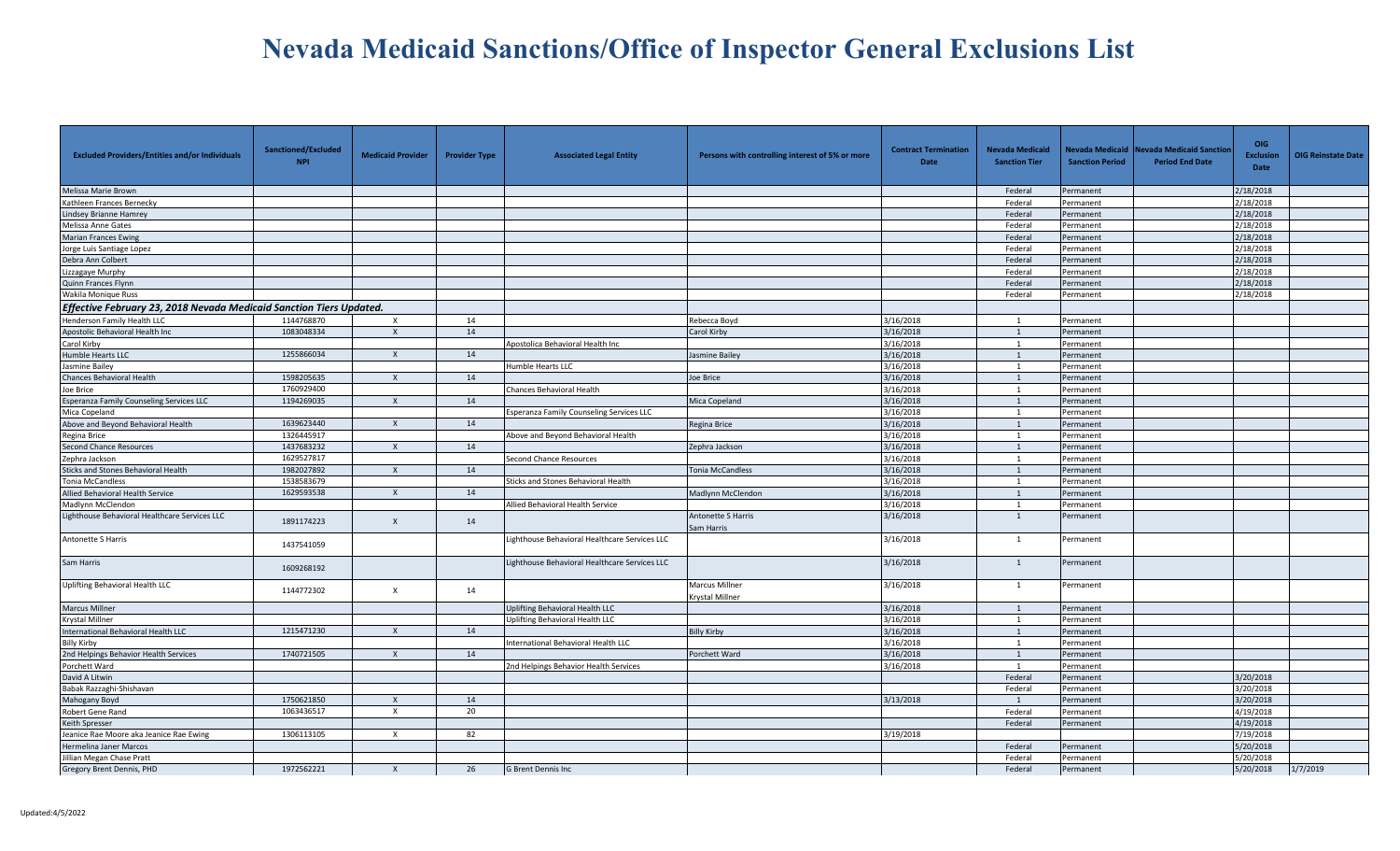| <b>Excluded Providers/Entities and/or Individuals</b>               | Sanctioned/Excluded<br><b>NPI</b> | <b>Medicaid Provider</b>  | <b>Provider Type</b> | <b>Associated Legal Entity</b>                  | Persons with controlling interest of 5% or more | <b>Contract Termination</b><br>Date | <b>Nevada Medicaid</b><br><b>Sanction Tier</b> | <b>Sanction Period</b> | Nevada Medicaid Nevada Medicaid Sanctior<br><b>Period End Date</b> | <b>OIG</b><br><b>Exclusion</b><br>Date | <b>OIG Reinstate Date</b> |
|---------------------------------------------------------------------|-----------------------------------|---------------------------|----------------------|-------------------------------------------------|-------------------------------------------------|-------------------------------------|------------------------------------------------|------------------------|--------------------------------------------------------------------|----------------------------------------|---------------------------|
| Melissa Marie Brown                                                 |                                   |                           |                      |                                                 |                                                 |                                     | Federal                                        | Permanent              |                                                                    | 2/18/2018                              |                           |
| Kathleen Frances Bernecky                                           |                                   |                           |                      |                                                 |                                                 |                                     | Federal                                        | Permanent              |                                                                    | 2/18/2018                              |                           |
| Lindsey Brianne Hamrey                                              |                                   |                           |                      |                                                 |                                                 |                                     | Federal                                        | Permanent              |                                                                    | 2/18/2018                              |                           |
| Melissa Anne Gates                                                  |                                   |                           |                      |                                                 |                                                 |                                     | Federal                                        | Permanent              |                                                                    | 2/18/2018                              |                           |
| <b>Marian Frances Ewing</b>                                         |                                   |                           |                      |                                                 |                                                 |                                     | Federal                                        | Permanent              |                                                                    | 2/18/2018                              |                           |
| Jorge Luis Santiage Lopez                                           |                                   |                           |                      |                                                 |                                                 |                                     | Federal                                        | Permanent              |                                                                    | 2/18/2018                              |                           |
| Debra Ann Colbert                                                   |                                   |                           |                      |                                                 |                                                 |                                     | Federal                                        | Permanent              |                                                                    | 2/18/2018                              |                           |
| Lizzagaye Murphy                                                    |                                   |                           |                      |                                                 |                                                 |                                     | Federal                                        | Permanent              |                                                                    | 2/18/2018                              |                           |
| Quinn Frances Flynn                                                 |                                   |                           |                      |                                                 |                                                 |                                     | Federal                                        | Permanent              |                                                                    | 2/18/2018                              |                           |
| Wakila Monique Russ                                                 |                                   |                           |                      |                                                 |                                                 |                                     | Federal                                        | Permanent              |                                                                    | 2/18/2018                              |                           |
| Effective February 23, 2018 Nevada Medicaid Sanction Tiers Updated. |                                   |                           |                      |                                                 |                                                 |                                     |                                                |                        |                                                                    |                                        |                           |
| Henderson Family Health LLC                                         | 1144768870                        | $\times$                  | 14                   |                                                 | Rebecca Boyd                                    | 3/16/2018                           | $\overline{1}$                                 | Permanent              |                                                                    |                                        |                           |
| Apostolic Behavioral Health Inc                                     | 1083048334                        | $\mathsf{X}$              | 14                   |                                                 | Carol Kirby                                     | 3/16/2018                           | 1                                              | Permanent              |                                                                    |                                        |                           |
| Carol Kirby                                                         |                                   |                           |                      | Apostolica Behavioral Health Inc                |                                                 | 3/16/2018                           | 1                                              | Permanent              |                                                                    |                                        |                           |
| Humble Hearts LLC                                                   | 1255866034                        | $\mathsf{x}$              | 14                   |                                                 | Jasmine Bailey                                  | 3/16/2018                           |                                                | Permanent              |                                                                    |                                        |                           |
| Jasmine Bailey                                                      |                                   |                           |                      | <b>Humble Hearts LLC</b>                        |                                                 | 3/16/2018                           | 1                                              | Permanent              |                                                                    |                                        |                           |
| Chances Behavioral Health                                           | 1598205635                        | $\mathsf{X}$              | 14                   |                                                 | loe Brice                                       | 3/16/2018                           | 1                                              | Permanent              |                                                                    |                                        |                           |
| Joe Brice                                                           | 1760929400                        |                           |                      | Chances Behavioral Health                       |                                                 | 3/16/2018                           | 1                                              | Permanent              |                                                                    |                                        |                           |
| Esperanza Family Counseling Services LLC                            | 1194269035                        | $\mathsf{X}$              | 14                   |                                                 | Mica Copeland                                   | 3/16/2018                           |                                                | Permanent              |                                                                    |                                        |                           |
| Mica Copeland                                                       |                                   |                           |                      | <b>Esperanza Family Counseling Services LLC</b> |                                                 | 3/16/2018                           | 1                                              | Permanent              |                                                                    |                                        |                           |
| Above and Beyond Behavioral Health                                  | 1639623440                        | $\mathsf{x}$              | 14                   |                                                 | Regina Brice                                    | 3/16/2018                           | $\overline{1}$                                 | Permanent              |                                                                    |                                        |                           |
| Regina Brice                                                        | 1326445917                        |                           |                      | Above and Beyond Behavioral Health              |                                                 | 3/16/2018                           | 1                                              | Permanent              |                                                                    |                                        |                           |
| <b>Second Chance Resources</b>                                      | 1437683232                        | $\mathsf{x}$              | 14                   |                                                 | Zephra Jackson                                  | 3/16/2018                           | $\overline{1}$                                 | Permanent              |                                                                    |                                        |                           |
| Zephra Jackson                                                      | 1629527817                        |                           |                      | Second Chance Resources                         |                                                 | 3/16/2018                           | $\overline{1}$                                 | Permanent              |                                                                    |                                        |                           |
| Sticks and Stones Behavioral Health                                 | 1982027892                        | $\boldsymbol{\mathsf{X}}$ | 14                   |                                                 | Tonia McCandless                                | 3/16/2018                           | 1                                              | Permanent              |                                                                    |                                        |                           |
| <b>Tonia McCandless</b>                                             | 1538583679                        |                           |                      | Sticks and Stones Behavioral Health             |                                                 | 3/16/2018                           |                                                | Permanent              |                                                                    |                                        |                           |
| Allied Behavioral Health Service                                    | 1629593538                        | $\mathsf{X}$              | 14                   |                                                 | Madlynn McClendon                               | 3/16/2018                           | $\overline{1}$                                 | Permanent              |                                                                    |                                        |                           |
| Madlynn McClendon                                                   |                                   |                           |                      | Allied Behavioral Health Service                |                                                 | 3/16/2018                           | 1                                              | Permanent              |                                                                    |                                        |                           |
| Lighthouse Behavioral Healthcare Services LLC                       | 1891174223                        | $\mathsf{x}$              | 14                   |                                                 | <b>Antonette S Harris</b><br>Sam Harris         | 3/16/2018                           | 1                                              | Permanent              |                                                                    |                                        |                           |
| Antonette S Harris                                                  | 1437541059                        |                           |                      | Lighthouse Behavioral Healthcare Services LLC   |                                                 | 3/16/2018                           | 1                                              | Permanent              |                                                                    |                                        |                           |
| Sam Harris                                                          | 1609268192                        |                           |                      | Lighthouse Behavioral Healthcare Services LLC   |                                                 | 3/16/2018                           | 1                                              | Permanent              |                                                                    |                                        |                           |
| Uplifting Behavioral Health LLC                                     | 1144772302                        | $\mathsf{x}$              | 14                   |                                                 | Marcus Millner<br>Krystal Millner               | 3/16/2018                           | 1                                              | Permanent              |                                                                    |                                        |                           |
| Marcus Millner                                                      |                                   |                           |                      | Uplifting Behavioral Health LLC                 |                                                 | 3/16/2018                           | $\overline{1}$                                 | Permanent              |                                                                    |                                        |                           |
| <b>Krystal Millner</b>                                              |                                   |                           |                      | Uplifting Behavioral Health LLC                 |                                                 | 3/16/2018                           | 1                                              | Permanent              |                                                                    |                                        |                           |
| International Behavioral Health LLC                                 | 1215471230                        | $\mathsf{x}$              | 14                   |                                                 | illy Kirby                                      | 3/16/2018                           |                                                | Permanent              |                                                                    |                                        |                           |
| <b>Billy Kirby</b>                                                  |                                   |                           |                      | nternational Behavioral Health LLC              |                                                 | 3/16/2018                           |                                                | Permanent              |                                                                    |                                        |                           |
| 2nd Helpings Behavior Health Services                               | 1740721505                        | $\mathsf{X}$              | 14                   |                                                 | Porchett Ward                                   | 3/16/2018                           | 1                                              | Permanent              |                                                                    |                                        |                           |
| Porchett Ward                                                       |                                   |                           |                      | 2nd Helpings Behavior Health Services           |                                                 | 3/16/2018                           | $\overline{1}$                                 | Permanent              |                                                                    |                                        |                           |
| David A Litwin                                                      |                                   |                           |                      |                                                 |                                                 |                                     | Federal                                        | Permanent              |                                                                    | 3/20/2018                              |                           |
| Babak Razzaghi-Shishavan                                            |                                   |                           |                      |                                                 |                                                 |                                     | Federal                                        | Permanent              |                                                                    | 3/20/2018                              |                           |
| Mahogany Boyd                                                       | 1750621850                        | $\mathsf{x}$              | 14                   |                                                 |                                                 | 3/13/2018                           | $\mathbf{1}$                                   | Permanent              |                                                                    | 3/20/2018                              |                           |
| Robert Gene Rand                                                    | 1063436517                        | $\mathsf{x}$              | 20                   |                                                 |                                                 |                                     | Federal                                        | Permanent              |                                                                    | 4/19/2018                              |                           |
| Keith Spresser                                                      |                                   |                           |                      |                                                 |                                                 |                                     | Federal                                        | Permanent              |                                                                    | 4/19/2018                              |                           |
| Jeanice Rae Moore aka Jeanice Rae Ewing                             | 1306113105                        | $\times$                  | 82                   |                                                 |                                                 | 3/19/2018                           |                                                |                        |                                                                    | 7/19/2018                              |                           |
| Hermelina Janer Marcos                                              |                                   |                           |                      |                                                 |                                                 |                                     | Federal                                        | Permanent              |                                                                    | 5/20/2018                              |                           |
| Jillian Megan Chase Pratt                                           |                                   |                           |                      |                                                 |                                                 |                                     | Federal                                        | Permanent              |                                                                    | 5/20/2018                              |                           |
| Gregory Brent Dennis, PHD                                           | 1972562221                        | X                         | 26                   | <b>G Brent Dennis Inc</b>                       |                                                 |                                     | Federal                                        | Permanent              |                                                                    | 5/20/2018                              | 1/7/2019                  |
|                                                                     |                                   |                           |                      |                                                 |                                                 |                                     |                                                |                        |                                                                    |                                        |                           |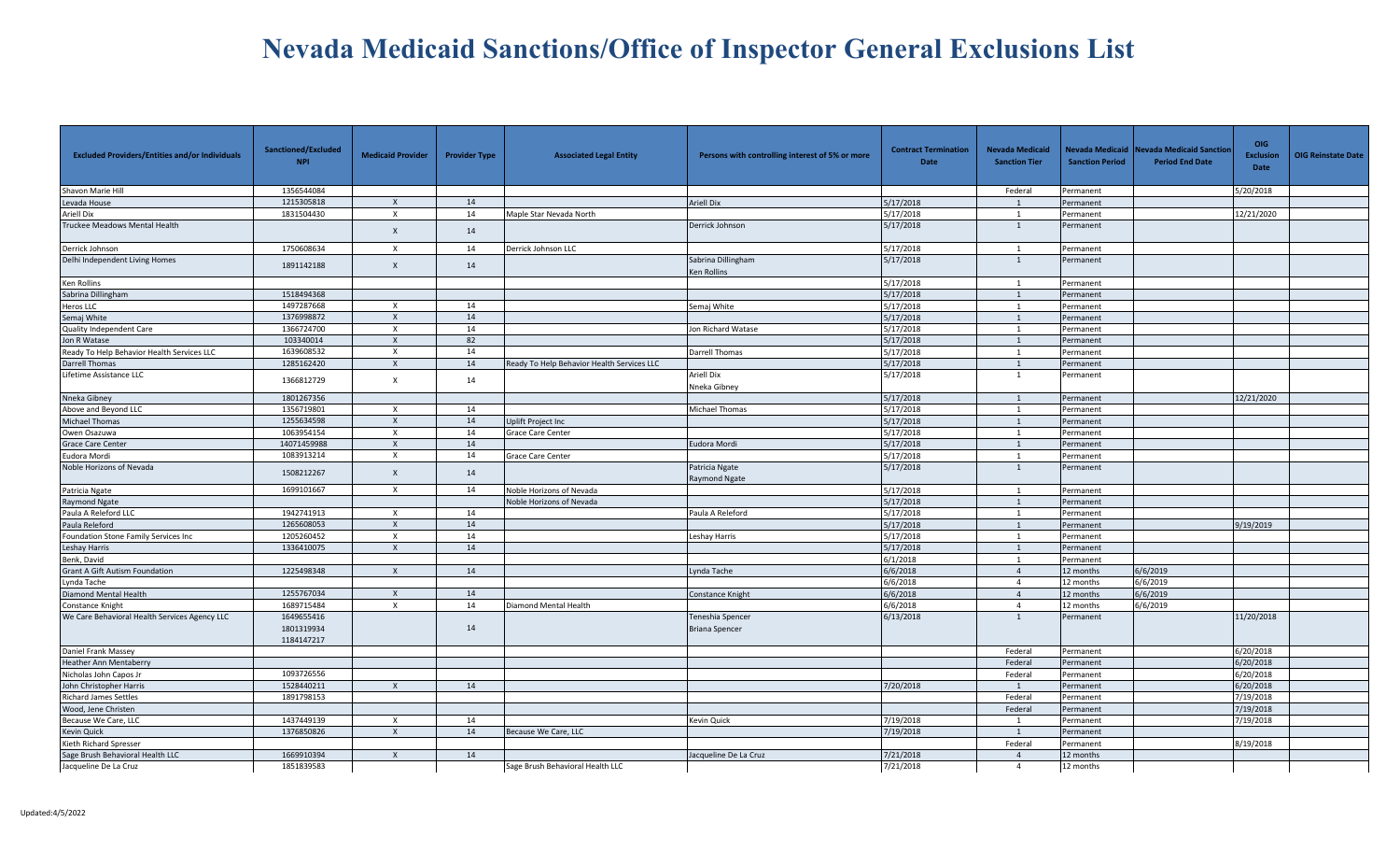| <b>Excluded Providers/Entities and/or Individuals</b> | Sanctioned/Excluded<br><b>NPI</b>      | <b>Medicaid Provider</b>  | <b>Provider Type</b> | <b>Associated Legal Entity</b>             | Persons with controlling interest of 5% or more | <b>Contract Termination</b><br>Date | <b>Nevada Medicaid</b><br><b>Sanction Tier</b> | <b>Sanction Period</b> | Nevada Medicaid Nevada Medicaid Sanctior<br><b>Period End Date</b> | <b>OIG</b><br><b>Exclusion</b><br>Date | <b>OIG Reinstate Date</b> |
|-------------------------------------------------------|----------------------------------------|---------------------------|----------------------|--------------------------------------------|-------------------------------------------------|-------------------------------------|------------------------------------------------|------------------------|--------------------------------------------------------------------|----------------------------------------|---------------------------|
| Shavon Marie Hill                                     | 1356544084                             |                           |                      |                                            |                                                 |                                     | Federal                                        | Permanent              |                                                                    | 5/20/2018                              |                           |
| Levada House                                          | 1215305818                             | $\times$                  | 14                   |                                            | <b>Ariell Dix</b>                               | 5/17/2018                           | 1                                              | Permanent              |                                                                    |                                        |                           |
| Ariell Dix                                            | 1831504430                             | $\boldsymbol{\mathsf{x}}$ | 14                   | Maple Star Nevada North                    |                                                 | 5/17/2018                           | $\overline{1}$                                 | Permanent              |                                                                    | 12/21/2020                             |                           |
| Truckee Meadows Mental Health                         |                                        | $\boldsymbol{\mathsf{X}}$ | 14                   |                                            | Derrick Johnson                                 | 5/17/2018                           | 1                                              | Permanent              |                                                                    |                                        |                           |
| Derrick Johnson                                       | 1750608634                             | $\times$                  | 14                   | Derrick Johnson LLC                        |                                                 | 5/17/2018                           |                                                | Permanent              |                                                                    |                                        |                           |
| Delhi Independent Living Homes                        | 1891142188                             | $\mathsf{x}$              | 14                   |                                            | Sabrina Dillingham<br><b>Ken Rollins</b>        | 5/17/2018                           | 1                                              | Permanent              |                                                                    |                                        |                           |
| Ken Rollins                                           |                                        |                           |                      |                                            |                                                 | 5/17/2018                           | $\overline{1}$                                 | Permanent              |                                                                    |                                        |                           |
| Sabrina Dillingham                                    | 1518494368                             |                           |                      |                                            |                                                 | 5/17/2018                           |                                                | Permanent              |                                                                    |                                        |                           |
| Heros LLC                                             | 1497287668                             | $\times$                  | 14                   |                                            | Semaj White                                     | 5/17/2018                           | 1                                              | Permanent              |                                                                    |                                        |                           |
| Semaj White                                           | 1376998872                             | $\times$                  | 14                   |                                            |                                                 | 5/17/2018                           | 1                                              | Permanent              |                                                                    |                                        |                           |
| Quality Independent Care                              | 1366724700                             | $\times$                  | 14                   |                                            | Jon Richard Watase                              | 5/17/2018                           | $\overline{1}$                                 | Permanent              |                                                                    |                                        |                           |
| Jon R Watase                                          | 103340014                              | $\boldsymbol{\mathsf{x}}$ | 82                   |                                            |                                                 | 5/17/2018                           | 1                                              | Permanent              |                                                                    |                                        |                           |
| Ready To Help Behavior Health Services LLC            | 1639608532                             | $\times$                  | 14                   |                                            | Darrell Thomas                                  | 5/17/2018                           | 1                                              | Permanent              |                                                                    |                                        |                           |
| Darrell Thomas                                        | 1285162420                             | $\boldsymbol{\mathsf{x}}$ | 14                   | Ready To Help Behavior Health Services LLC |                                                 | 5/17/2018                           | $\mathbf{1}$                                   | Permanent              |                                                                    |                                        |                           |
| Lifetime Assistance LLC                               | 1366812729                             | $\mathsf{x}$              | 14                   |                                            | <b>Ariell Dix</b><br>Nneka Gibney               | 5/17/2018                           | 1                                              | Permanent              |                                                                    |                                        |                           |
| Nneka Gibney                                          | 1801267356                             |                           |                      |                                            |                                                 | 5/17/2018                           |                                                | Permanent              |                                                                    | 12/21/2020                             |                           |
| Above and Beyond LLC                                  | 1356719801                             | $\mathsf{X}$              | 14                   |                                            | Michael Thomas                                  | 5/17/2018                           | 1                                              | Permanent              |                                                                    |                                        |                           |
| Michael Thomas                                        | 1255634598                             | $\boldsymbol{\mathsf{x}}$ | 14                   | Uplift Project Inc                         |                                                 | 5/17/2018                           | 1                                              | Permanent              |                                                                    |                                        |                           |
| Owen Osazuwa                                          | 1063954154                             | $\times$                  | 14                   | Grace Care Center                          |                                                 | 5/17/2018                           | $\overline{1}$                                 | Permanent              |                                                                    |                                        |                           |
| <b>Grace Care Center</b>                              | 14071459988                            | $\boldsymbol{\mathsf{x}}$ | 14                   |                                            | Eudora Mordi                                    | 5/17/2018                           | 1                                              | Permanent              |                                                                    |                                        |                           |
| Eudora Mordi                                          | 1083913214                             | $\times$                  | 14                   | <b>Grace Care Center</b>                   |                                                 | 5/17/2018                           |                                                | Permanent              |                                                                    |                                        |                           |
| Noble Horizons of Nevada                              | 1508212267                             | $\boldsymbol{\mathsf{x}}$ | 14                   |                                            | Patricia Ngate<br>Raymond Ngate                 | 5/17/2018                           | $\mathbf{1}$                                   | Permanent              |                                                                    |                                        |                           |
| Patricia Ngate                                        | 1699101667                             | $\times$                  | 14                   | Noble Horizons of Nevada                   |                                                 | 5/17/2018                           | 1                                              | Permanent              |                                                                    |                                        |                           |
| <b>Raymond Ngate</b>                                  |                                        |                           |                      | Noble Horizons of Nevada                   |                                                 | 5/17/2018                           |                                                | Permanent              |                                                                    |                                        |                           |
| Paula A Releford LLC                                  | 1942741913                             | $\boldsymbol{\mathsf{x}}$ | 14                   |                                            | Paula A Releford                                | 5/17/2018                           | 1                                              | Permanent              |                                                                    |                                        |                           |
| Paula Releford                                        | 1265608053                             | $\mathsf{x}$              | 14                   |                                            |                                                 | 5/17/2018                           | 1                                              | Permanent              |                                                                    | 9/19/2019                              |                           |
| Foundation Stone Family Services Inc                  | 1205260452                             | $\boldsymbol{\mathsf{x}}$ | 14                   |                                            | Leshay Harris                                   | 5/17/2018                           | $\overline{1}$                                 | Permanent              |                                                                    |                                        |                           |
| Leshay Harris                                         | 1336410075                             | $\mathsf{x}$              | 14                   |                                            |                                                 | 5/17/2018                           | 1                                              | Permanent              |                                                                    |                                        |                           |
| Benk, David                                           |                                        |                           |                      |                                            |                                                 | 6/1/2018                            | 1                                              | Permanent              |                                                                    |                                        |                           |
| <b>Grant A Gift Autism Foundation</b>                 | 1225498348                             | $\times$                  | 14                   |                                            | Lynda Tache                                     | 6/6/2018                            | $\overline{4}$                                 | 12 months              | 6/6/2019                                                           |                                        |                           |
| Lynda Tache                                           |                                        |                           |                      |                                            |                                                 | 6/6/2018                            | $\overline{4}$                                 | 12 months              | 6/6/2019                                                           |                                        |                           |
| Diamond Mental Health                                 | 1255767034                             | $\boldsymbol{\mathsf{x}}$ | 14                   |                                            | Constance Knight                                | 6/6/2018                            | $\overline{4}$                                 | 12 months              | 6/6/2019                                                           |                                        |                           |
| Constance Knight                                      | 1689715484                             | $\times$                  | 14                   | Diamond Mental Health                      |                                                 | 6/6/2018                            | $\overline{4}$                                 | 12 months              | 6/6/2019                                                           |                                        |                           |
| We Care Behavioral Health Services Agency LLC         | 1649655416<br>1801319934<br>1184147217 |                           | 14                   |                                            | Teneshia Spencer<br><b>Briana Spencer</b>       | 6/13/2018                           | 1                                              | Permanent              |                                                                    | 11/20/2018                             |                           |
| Daniel Frank Massey                                   |                                        |                           |                      |                                            |                                                 |                                     | Federal                                        | Permanent              |                                                                    | 6/20/2018                              |                           |
| Heather Ann Mentaberry                                |                                        |                           |                      |                                            |                                                 |                                     | Federal                                        | Permanent              |                                                                    | 5/20/2018                              |                           |
| Nicholas John Capos Jr                                | 1093726556                             |                           |                      |                                            |                                                 |                                     | Federal                                        | Permanent              |                                                                    | 6/20/2018                              |                           |
| John Christopher Harris                               | 1528440211                             | $\mathsf{X}$              | 14                   |                                            |                                                 | 7/20/2018                           | $\overline{1}$                                 | Permanent              |                                                                    | 6/20/2018                              |                           |
| <b>Richard James Settles</b>                          | 1891798153                             |                           |                      |                                            |                                                 |                                     | Federal                                        | Permanent              |                                                                    | 7/19/2018                              |                           |
| Wood, Jene Christen                                   |                                        |                           |                      |                                            |                                                 |                                     | Federal                                        | Permanent              |                                                                    | 7/19/2018                              |                           |
| Because We Care, LLC                                  | 1437449139                             | $\boldsymbol{\mathsf{x}}$ | 14                   |                                            | Kevin Quick                                     | 7/19/2018                           | 1                                              | Permanent              |                                                                    | 7/19/2018                              |                           |
| <b>Kevin Quick</b>                                    | 1376850826                             | $\boldsymbol{\mathsf{x}}$ | 14                   | Because We Care, LLC                       |                                                 | 7/19/2018                           | $\overline{1}$                                 | Permanent              |                                                                    |                                        |                           |
| Kieth Richard Spresser                                |                                        |                           |                      |                                            |                                                 |                                     | Federal                                        | Permanent              |                                                                    | 8/19/2018                              |                           |
| Sage Brush Behavioral Health LLC                      | 1669910394                             | $\times$                  | 14                   |                                            | Jacqueline De La Cruz                           | 7/21/2018                           | $\overline{4}$                                 | 12 months              |                                                                    |                                        |                           |
| Jacqueline De La Cruz                                 | 1851839583                             |                           |                      | Sage Brush Behavioral Health LLC           |                                                 | 7/21/2018                           | $\overline{4}$                                 | 12 months              |                                                                    |                                        |                           |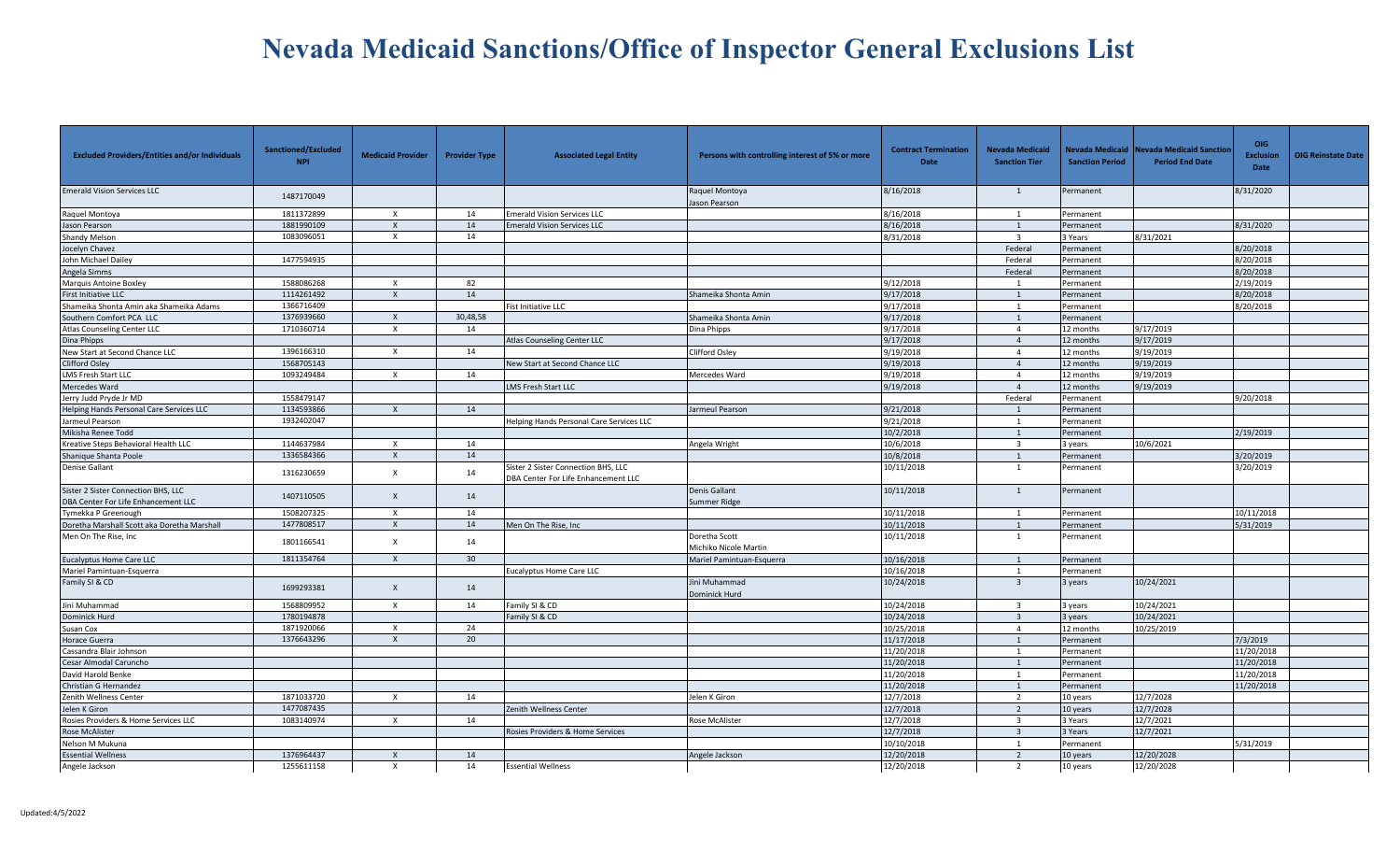| <b>Excluded Providers/Entities and/or Individuals</b>                      | Sanctioned/Excluded<br><b>NPI</b> | <b>Medicaid Provider</b>  | <b>Provider Type</b> | <b>Associated Legal Entity</b>                                             | Persons with controlling interest of 5% or more | <b>Contract Termination</b><br>Date | <b>Nevada Medicaid</b><br><b>Sanction Tier</b> | Nevada Medicaid<br><b>Sanction Period</b> | <b>Nevada Medicaid Sanctior</b><br><b>Period End Date</b> | <b>OIG</b><br><b>Exclusion</b><br>Date | <b>OIG Reinstate Date</b> |
|----------------------------------------------------------------------------|-----------------------------------|---------------------------|----------------------|----------------------------------------------------------------------------|-------------------------------------------------|-------------------------------------|------------------------------------------------|-------------------------------------------|-----------------------------------------------------------|----------------------------------------|---------------------------|
| <b>Emerald Vision Services LLC</b>                                         | 1487170049                        |                           |                      |                                                                            | Raquel Montoya<br>Jason Pearson                 | 8/16/2018                           | 1                                              | ermanent                                  |                                                           | 8/31/2020                              |                           |
| Raquel Montoya                                                             | 1811372899                        | X                         | 14                   | <b>Emerald Vision Services LLC</b>                                         |                                                 | 8/16/2018                           | -1                                             | Permanent                                 |                                                           |                                        |                           |
| Jason Pearson                                                              | 1881990109                        | $\mathsf{x}$              | 14                   | <b>Emerald Vision Services LLC</b>                                         |                                                 | 8/16/2018                           | 1                                              | ermanent                                  |                                                           | 8/31/2020                              |                           |
| <b>Shandy Melson</b>                                                       | 1083096051                        | $\times$                  | 14                   |                                                                            |                                                 | 8/31/2018                           | $\overline{3}$                                 | 3 Years                                   | 8/31/2021                                                 |                                        |                           |
| Jocelyn Chavez                                                             |                                   |                           |                      |                                                                            |                                                 |                                     | Federal                                        | Permanent                                 |                                                           | 8/20/2018                              |                           |
| John Michael Dailey                                                        | 1477594935                        |                           |                      |                                                                            |                                                 |                                     | Federal                                        | Permanent                                 |                                                           | 8/20/2018                              |                           |
| Angela Simms                                                               |                                   |                           |                      |                                                                            |                                                 |                                     | Federal                                        | Permanent                                 |                                                           | 8/20/2018                              |                           |
| Marquis Antoine Boxley                                                     | 1588086268                        | X                         | 82                   |                                                                            |                                                 | 9/12/2018                           | -1                                             | Permanent                                 |                                                           | 2/19/2019                              |                           |
| <b>First Initiative LLC</b>                                                | 1114261492                        | $\mathsf{x}$              | 14                   |                                                                            | Shameika Shonta Amin                            | 9/17/2018                           | 1                                              | Permanent                                 |                                                           | 8/20/2018                              |                           |
| Shameika Shonta Amin aka Shameika Adams                                    | 1366716409                        |                           |                      | Fist Initiative LLC                                                        |                                                 | 9/17/2018                           | 1                                              | Permanent                                 |                                                           | 8/20/2018                              |                           |
| Southern Comfort PCA LLC                                                   | 1376939660                        | $\mathsf{X}$              | 30,48,58             |                                                                            | Shameika Shonta Amin                            | 9/17/2018                           | 1                                              | Permanent                                 |                                                           |                                        |                           |
| <b>Atlas Counseling Center LLC</b>                                         | 1710360714                        | $\mathsf{x}$              | 14                   |                                                                            | Dina Phipps                                     | 9/17/2018                           | $\overline{4}$                                 | 12 months                                 | 9/17/2019                                                 |                                        |                           |
| Dina Phipps                                                                |                                   |                           |                      | Atlas Counseling Center LLC                                                |                                                 | 9/17/2018                           | $\overline{4}$                                 | 12 months                                 | 9/17/2019                                                 |                                        |                           |
| New Start at Second Chance LLC                                             | 1396166310                        | $\mathsf{x}$              | 14                   |                                                                            | <b>Clifford Osley</b>                           | 9/19/2018                           | $\overline{4}$                                 | 12 months                                 | 9/19/2019                                                 |                                        |                           |
| Clifford Osley                                                             | 1568705143                        |                           |                      | New Start at Second Chance LLC                                             |                                                 | 9/19/2018                           | $\overline{4}$                                 | 12 months                                 | 9/19/2019                                                 |                                        |                           |
| <b>LMS Fresh Start LLC</b>                                                 | 1093249484                        | $\times$                  | 14                   |                                                                            | Mercedes Ward                                   | 9/19/2018                           | $\overline{4}$                                 | 12 months                                 | 9/19/2019                                                 |                                        |                           |
| Mercedes Ward                                                              |                                   |                           |                      | LMS Fresh Start LLC                                                        |                                                 | 9/19/2018                           | $\overline{4}$                                 | 12 months                                 | 9/19/2019                                                 |                                        |                           |
| Jerry Judd Pryde Jr MD                                                     | 1558479147                        |                           |                      |                                                                            |                                                 |                                     | Federal                                        | Permanent                                 |                                                           | 9/20/2018                              |                           |
| Helping Hands Personal Care Services LLC                                   | 1134593866                        | $\times$                  | 14                   |                                                                            | Jarmeul Pearson                                 | 9/21/2018                           | $\overline{1}$                                 | Permanent                                 |                                                           |                                        |                           |
| Jarmeul Pearson                                                            | 1932402047                        |                           |                      | Helping Hands Personal Care Services LLC                                   |                                                 | 9/21/2018                           | $\overline{1}$                                 | Permanent                                 |                                                           |                                        |                           |
| Mikisha Renee Todd                                                         |                                   |                           |                      |                                                                            |                                                 | 10/2/2018                           | $\overline{1}$                                 | Permanent                                 |                                                           | 2/19/2019                              |                           |
| Kreative Steps Behavioral Health LLC                                       | 1144637984                        | $\times$                  | 14                   |                                                                            | Angela Wright                                   | 10/6/2018                           | $\overline{\mathbf{3}}$                        | vears                                     | 10/6/2021                                                 |                                        |                           |
| Shanique Shanta Poole                                                      | 1336584366                        | $\mathsf{x}$              | 14                   |                                                                            |                                                 | 10/8/2018                           | $\overline{1}$                                 | ermanent                                  |                                                           | 3/20/2019                              |                           |
| Denise Gallant                                                             | 1316230659                        | $\boldsymbol{\mathsf{x}}$ | 14                   | Sister 2 Sister Connection BHS, LLC<br>DBA Center For Life Enhancement LLC |                                                 | 10/11/2018                          | 1                                              | Permanent                                 |                                                           | 3/20/2019                              |                           |
| Sister 2 Sister Connection BHS, LLC<br>DBA Center For Life Enhancement LLC | 1407110505                        | $\mathsf{X}$              | 14                   |                                                                            | <b>Denis Gallant</b><br>Summer Ridge            | 10/11/2018                          | 1                                              | Permanent                                 |                                                           |                                        |                           |
| Tymekka P Greenough                                                        | 1508207325                        | $\mathsf{X}$              | 14                   |                                                                            |                                                 | 10/11/2018                          | 1                                              | Permanent                                 |                                                           | 10/11/2018                             |                           |
| Doretha Marshall Scott aka Doretha Marshall                                | 1477808517                        | $\mathsf{X}$              | 14                   | Men On The Rise, Inc                                                       |                                                 | 10/11/2018                          | 1                                              | Permanent                                 |                                                           | 5/31/2019                              |                           |
| Men On The Rise, Inc                                                       | 1801166541                        | $\mathsf{x}$              | 14                   |                                                                            | Doretha Scott<br>Michiko Nicole Martin          | 10/11/2018                          | 1                                              | Permanent                                 |                                                           |                                        |                           |
| Eucalyptus Home Care LLC                                                   | 1811354764                        | $\times$                  | 30                   |                                                                            | Mariel Pamintuan-Esquerra                       | 10/16/2018                          | $\overline{1}$                                 | Permanent                                 |                                                           |                                        |                           |
| Mariel Pamintuan-Esquerra                                                  |                                   |                           |                      | <b>Eucalyptus Home Care LLC</b>                                            |                                                 | 10/16/2018                          | 1                                              | Permanent                                 |                                                           |                                        |                           |
| Family SI & CD                                                             | 1699293381                        | $\times$                  | 14                   |                                                                            | Jini Muhammad<br>Dominick Hurd                  | 10/24/2018                          | $\overline{\mathbf{3}}$                        | years                                     | 10/24/2021                                                |                                        |                           |
| Jini Muhammad                                                              | 1568809952                        | $\times$                  | 14                   | Family SI & CD                                                             |                                                 | 10/24/2018                          | $\mathbf{R}$                                   | 3 years                                   | 10/24/2021                                                |                                        |                           |
| Dominick Hurd                                                              | 1780194878                        |                           |                      | Family SI & CD                                                             |                                                 | 10/24/2018                          | $\overline{3}$                                 | wears                                     | 10/24/2021                                                |                                        |                           |
| Susan Cox                                                                  | 1871920066                        | $\boldsymbol{\mathsf{x}}$ | 24                   |                                                                            |                                                 | 10/25/2018                          | $\overline{4}$                                 | 12 months                                 | 10/25/2019                                                |                                        |                           |
| Horace Guerra                                                              | 1376643296                        | $\mathsf{x}$              | 20                   |                                                                            |                                                 | 11/17/2018                          | 1                                              | Permanent                                 |                                                           | 7/3/2019                               |                           |
| Cassandra Blair Johnson                                                    |                                   |                           |                      |                                                                            |                                                 | 11/20/2018                          | 1                                              | Permanent                                 |                                                           | 11/20/2018                             |                           |
| Cesar Almodal Caruncho                                                     |                                   |                           |                      |                                                                            |                                                 | 11/20/2018                          | $\overline{1}$                                 | Permanent                                 |                                                           | 11/20/2018                             |                           |
| David Harold Benke                                                         |                                   |                           |                      |                                                                            |                                                 | 11/20/2018                          | 1                                              | Permanent                                 |                                                           | 11/20/2018                             |                           |
| Christian G Hernandez                                                      |                                   |                           |                      |                                                                            |                                                 | 11/20/2018                          | 1                                              | Permanent                                 |                                                           | 11/20/2018                             |                           |
| Zenith Wellness Center                                                     | 1871033720                        | $\times$                  | 14                   |                                                                            | Jelen K Giron                                   | 12/7/2018                           | 2                                              | 10 years                                  | 12/7/2028                                                 |                                        |                           |
| Jelen K Giron                                                              | 1477087435                        |                           |                      | Zenith Wellness Center                                                     |                                                 | 12/7/2018                           | $\overline{2}$                                 | 10 years                                  | 12/7/2028                                                 |                                        |                           |
| Rosies Providers & Home Services LLC                                       | 1083140974                        | X                         | 14                   |                                                                            | Rose McAlister                                  | 12/7/2018                           | $\overline{3}$                                 | 3 Years                                   | 12/7/2021                                                 |                                        |                           |
| Rose McAlister                                                             |                                   |                           |                      | Rosies Providers & Home Services                                           |                                                 | 12/7/2018                           | $\overline{\mathbf{3}}$                        | Years                                     | 12/7/2021                                                 |                                        |                           |
| Nelson M Mukuna                                                            |                                   |                           |                      |                                                                            |                                                 | 10/10/2018                          | 1                                              | Permanent                                 |                                                           | 5/31/2019                              |                           |
| <b>Essential Wellness</b>                                                  | 1376964437                        | $\mathsf{X}$              | 14                   |                                                                            | Angele Jackson                                  | 12/20/2018                          | 2                                              | 10 years                                  | 12/20/2028                                                |                                        |                           |
| Angele Jackson                                                             | 1255611158                        | X                         | 14                   | <b>Essential Wellness</b>                                                  |                                                 | 12/20/2018                          | 2                                              | 10 years                                  | 12/20/2028                                                |                                        |                           |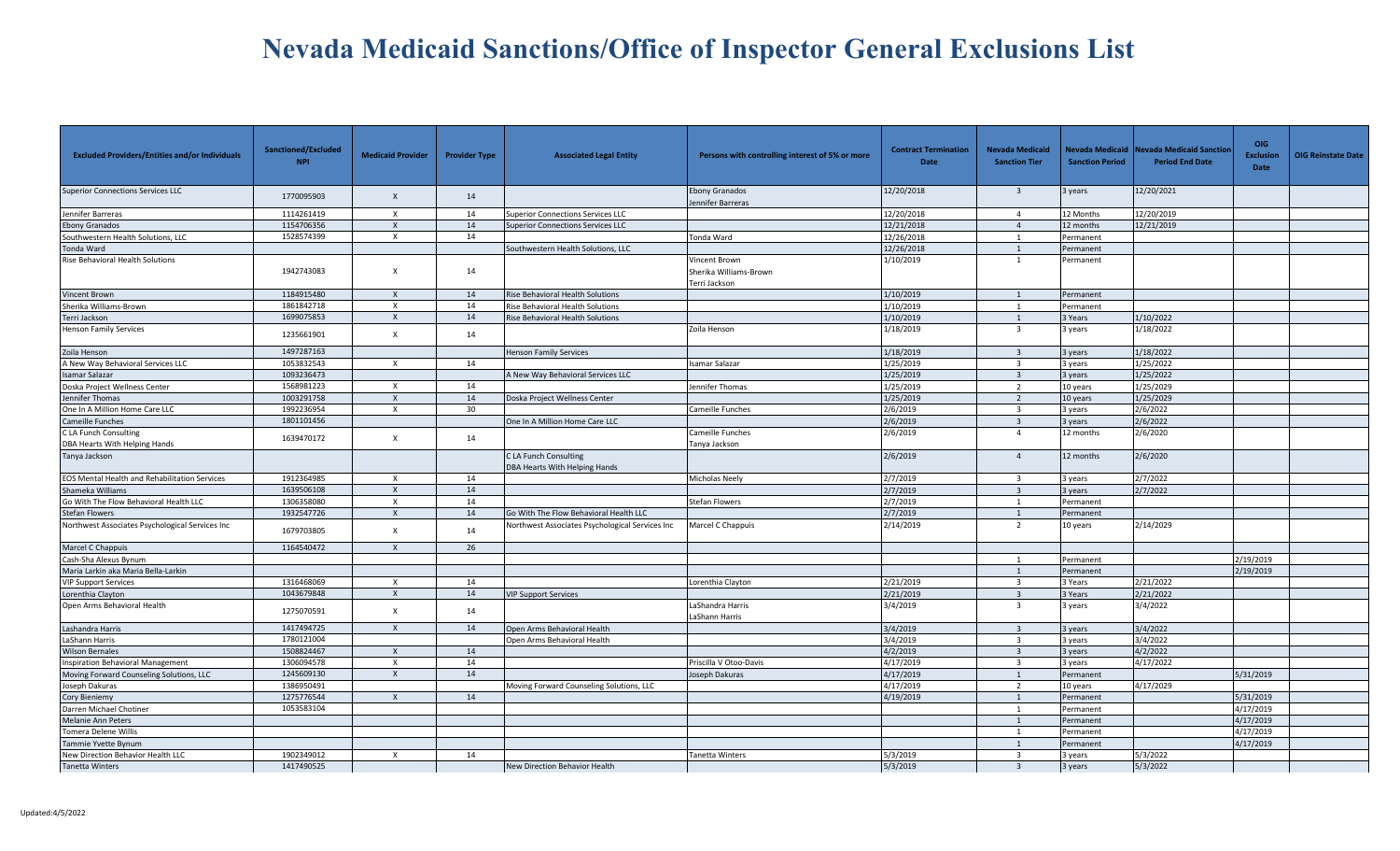| <b>Excluded Providers/Entities and/or Individuals</b>  | Sanctioned/Excluded<br><b>NPI</b> | <b>Medicaid Provider</b>  | <b>Provider Type</b> | <b>Associated Legal Entity</b>                         | Persons with controlling interest of 5% or more          | <b>Contract Termination</b><br>Date | <b>Nevada Medicaid</b><br><b>Sanction Tier</b> | <b>Sanction Period</b> | Nevada Medicaid   Nevada Medicaid Sanctior<br><b>Period End Date</b> | <b>OIG</b><br><b>Exclusion</b><br>Date | <b>OIG Reinstate Date</b> |
|--------------------------------------------------------|-----------------------------------|---------------------------|----------------------|--------------------------------------------------------|----------------------------------------------------------|-------------------------------------|------------------------------------------------|------------------------|----------------------------------------------------------------------|----------------------------------------|---------------------------|
| <b>Superior Connections Services LLC</b>               | 1770095903                        | $\boldsymbol{\mathsf{x}}$ | 14                   |                                                        | <b>Ebony Granados</b><br>Jennifer Barreras               | 12/20/2018                          | $\overline{\mathbf{3}}$                        | 3 years                | 12/20/2021                                                           |                                        |                           |
| Jennifer Barreras                                      | 1114261419                        | $\boldsymbol{\mathsf{x}}$ | 14                   | Superior Connections Services LLC                      |                                                          | 12/20/2018                          | $\overline{4}$                                 | 12 Months              | 12/20/2019                                                           |                                        |                           |
| <b>Ebony Granados</b>                                  | 1154706356                        | $\boldsymbol{\mathsf{x}}$ | 14                   | Superior Connections Services LLC                      |                                                          | 12/21/2018                          | $\overline{4}$                                 | 12 months              | 12/21/2019                                                           |                                        |                           |
| Southwestern Health Solutions, LLC                     | 1528574399                        | $\times$                  | 14                   |                                                        | Tonda Ward                                               | 12/26/2018                          | 1                                              | Permanent              |                                                                      |                                        |                           |
| Tonda Ward                                             |                                   |                           |                      | Southwestern Health Solutions, LLC                     |                                                          | 12/26/2018                          | $\overline{1}$                                 | Permanent              |                                                                      |                                        |                           |
| Rise Behavioral Health Solutions                       | 1942743083                        | $\boldsymbol{\mathsf{x}}$ | 14                   |                                                        | Vincent Brown<br>Sherika Williams-Brown<br>Terri Jackson | 1/10/2019                           | 1                                              | Permanent              |                                                                      |                                        |                           |
| <b>Vincent Brown</b>                                   | 1184915480                        | $\times$                  | 14                   | Rise Behavioral Health Solutions                       |                                                          | 1/10/2019                           |                                                | Permanent              |                                                                      |                                        |                           |
| Sherika Williams-Brown                                 | 1861842718                        | $\mathsf{x}$              | 14                   | Rise Behavioral Health Solutions                       |                                                          | 1/10/2019                           | 1                                              | Permanent              |                                                                      |                                        |                           |
| Terri Jackson                                          | 1699075853                        | $\boldsymbol{\mathsf{x}}$ | 14                   | Rise Behavioral Health Solutions                       |                                                          | 1/10/2019                           | 1                                              | 3 Years                | 1/10/2022                                                            |                                        |                           |
| Henson Family Services                                 | 1235661901                        | $\boldsymbol{\mathsf{x}}$ | 14                   |                                                        | Zoila Henson                                             | 1/18/2019                           | $\overline{\mathbf{3}}$                        | years                  | 1/18/2022                                                            |                                        |                           |
| Zoila Henson                                           | 1497287163                        |                           |                      | Henson Family Services                                 |                                                          | 1/18/2019                           | $\overline{3}$                                 | 3 years                | 1/18/2022                                                            |                                        |                           |
| A New Way Behavioral Services LLC                      | 1053832543                        | $\times$                  | 14                   |                                                        | samar Salazar                                            | 1/25/2019                           | $\overline{\mathbf{3}}$                        | 3 vears                | 1/25/2022                                                            |                                        |                           |
| <b>Isamar Salazar</b>                                  | 1093236473                        |                           |                      | A New Way Behavioral Services LLC                      |                                                          | 1/25/2019                           | $\overline{\mathbf{3}}$                        | 3 years                | 1/25/2022                                                            |                                        |                           |
| Doska Project Wellness Center                          | 1568981223                        | $\boldsymbol{\mathsf{x}}$ | 14                   |                                                        | ennifer Thomas                                           | 1/25/2019                           | $\overline{2}$                                 | 10 years               | 1/25/2029                                                            |                                        |                           |
| Jennifer Thomas                                        | 1003291758                        | $\boldsymbol{\mathsf{x}}$ | 14                   | Doska Project Wellness Center                          |                                                          | 1/25/2019                           | 2                                              | 10 years               | 1/25/2029                                                            |                                        |                           |
| One In A Million Home Care LLC                         | 1992236954                        | $\mathsf{X}$              | 30                   |                                                        | Cameille Funches                                         | 2/6/2019                            | $\overline{\mathbf{3}}$                        | 3 years                | 2/6/2022                                                             |                                        |                           |
| Cameille Funches                                       | 1801101456                        |                           |                      | One In A Million Home Care LLC                         |                                                          | 2/6/2019                            | $\overline{3}$                                 | 3 years                | 2/6/2022                                                             |                                        |                           |
| C LA Funch Consulting<br>DBA Hearts With Helping Hands | 1639470172                        | $\boldsymbol{\mathsf{x}}$ | 14                   |                                                        | Cameille Funches<br>Tanya Jackson                        | 2/6/2019                            | $\overline{4}$                                 | 12 months              | 2/6/2020                                                             |                                        |                           |
| Tanya Jackson                                          |                                   |                           |                      | C LA Funch Consulting<br>DBA Hearts With Helping Hands |                                                          | 2/6/2019                            | $\overline{4}$                                 | 12 months              | 2/6/2020                                                             |                                        |                           |
| <b>EOS Mental Health and Rehabilitation Services</b>   | 1912364985                        | $\times$                  | 14                   |                                                        | Micholas Neely                                           | 2/7/2019                            | $\overline{\mathbf{3}}$                        | 3 years                | 2/7/2022                                                             |                                        |                           |
| Shameka Williams                                       | 1639506108                        | $\mathsf{x}$              | 14                   |                                                        |                                                          | 2/7/2019                            | $\overline{3}$                                 | 3 years                | 2/7/2022                                                             |                                        |                           |
| Go With The Flow Behavioral Health LLC                 | 1306358080                        | $\mathsf{x}$              | 14                   |                                                        | Stefan Flowers                                           | 2/7/2019                            |                                                | Permanent              |                                                                      |                                        |                           |
| <b>Stefan Flowers</b>                                  | 1932547726                        | $\mathsf{x}$              | 14                   | Go With The Flow Behavioral Health LLC                 |                                                          | 2/7/2019                            | 1                                              | Permanent              |                                                                      |                                        |                           |
| Northwest Associates Psychological Services Inc        | 1679703805                        | $\mathsf{x}$              | 14                   | Northwest Associates Psychological Services Inc        | Marcel C Chappuis                                        | 2/14/2019                           | $\overline{2}$                                 | 10 years               | 2/14/2029                                                            |                                        |                           |
| Marcel C Chappuis                                      | 1164540472                        | $\mathsf{X}$              | 26                   |                                                        |                                                          |                                     |                                                |                        |                                                                      |                                        |                           |
| Cash-Sha Alexus Bynum                                  |                                   |                           |                      |                                                        |                                                          |                                     | 1                                              | Permanent              |                                                                      | 2/19/2019                              |                           |
| Maria Larkin aka Maria Bella-Larkin                    |                                   |                           |                      |                                                        |                                                          |                                     |                                                | Permanent              |                                                                      | 2/19/2019                              |                           |
| <b>VIP Support Services</b>                            | 1316468069                        | X                         | 14                   |                                                        | Lorenthia Clayton                                        | 2/21/2019                           | $\overline{\mathbf{3}}$                        | 3 Years                | 2/21/2022                                                            |                                        |                           |
| Lorenthia Clayton                                      | 1043679848                        | $\times$                  | 14                   | VIP Support Services                                   |                                                          | 2/21/2019                           | $\overline{3}$                                 | Years                  | 2/21/2022                                                            |                                        |                           |
| Open Arms Behavioral Health                            | 1275070591                        | $\times$                  | 14                   |                                                        | LaShandra Harris<br>LaShann Harris                       | 3/4/2019                            | $\overline{\mathbf{3}}$                        | 3 years                | 3/4/2022                                                             |                                        |                           |
| Lashandra Harris                                       | 1417494725                        | $\times$                  | 14                   | Open Arms Behavioral Health                            |                                                          | 3/4/2019                            | $\overline{3}$                                 | 3 years                | 3/4/2022                                                             |                                        |                           |
| LaShann Harris                                         | 1780121004                        |                           |                      | Open Arms Behavioral Health                            |                                                          | 3/4/2019                            | $\overline{3}$                                 | 3 years                | 3/4/2022                                                             |                                        |                           |
| <b>Wilson Bernales</b>                                 | 1508824467                        | $\mathsf{X}$              | 14                   |                                                        |                                                          | 4/2/2019                            | $\overline{3}$                                 | 3 years                | 4/2/2022                                                             |                                        |                           |
| <b>Inspiration Behavioral Management</b>               | 1306094578                        | $\boldsymbol{\mathsf{x}}$ | 14                   |                                                        | Priscilla V Otoo-Davis                                   | 4/17/2019                           | $\overline{3}$                                 | 3 years                | 4/17/2022                                                            |                                        |                           |
| Moving Forward Counseling Solutions, LLC               | 1245609130                        | $\times$                  | 14                   |                                                        | Joseph Dakuras                                           | 4/17/2019                           | 1                                              | Permanent              |                                                                      | 5/31/2019                              |                           |
| Joseph Dakuras                                         | 1386950491                        |                           |                      | Moving Forward Counseling Solutions, LLC               |                                                          | 4/17/2019                           | $\overline{2}$                                 | 10 years               | 4/17/2029                                                            |                                        |                           |
| Cory Bieniemy                                          | 1275776544                        | $\times$                  | 14                   |                                                        |                                                          | 4/19/2019                           | 1                                              | Permanent              |                                                                      | 5/31/2019                              |                           |
| Darren Michael Chotiner                                | 1053583104                        |                           |                      |                                                        |                                                          |                                     | $\overline{1}$                                 | Permanent              |                                                                      | 4/17/2019                              |                           |
| Melanie Ann Peters                                     |                                   |                           |                      |                                                        |                                                          |                                     | 1                                              | Permanent              |                                                                      | 4/17/2019                              |                           |
| <b>Tomera Delene Willis</b>                            |                                   |                           |                      |                                                        |                                                          |                                     | 1                                              | Permanent              |                                                                      | 4/17/2019                              |                           |
| Tammie Yvette Bynum                                    |                                   |                           |                      |                                                        |                                                          |                                     | $\overline{1}$                                 | Permanent              |                                                                      | 4/17/2019                              |                           |
| New Direction Behavior Health LLC                      | 1902349012                        | $\times$                  | 14                   |                                                        | Tanetta Winters                                          | 5/3/2019                            | $\overline{3}$                                 | 3 years                | 5/3/2022                                                             |                                        |                           |
| <b>Tanetta Winters</b>                                 | 1417490525                        |                           |                      | New Direction Behavior Health                          |                                                          | 5/3/2019                            | $\overline{3}$                                 | 3 years                | 5/3/2022                                                             |                                        |                           |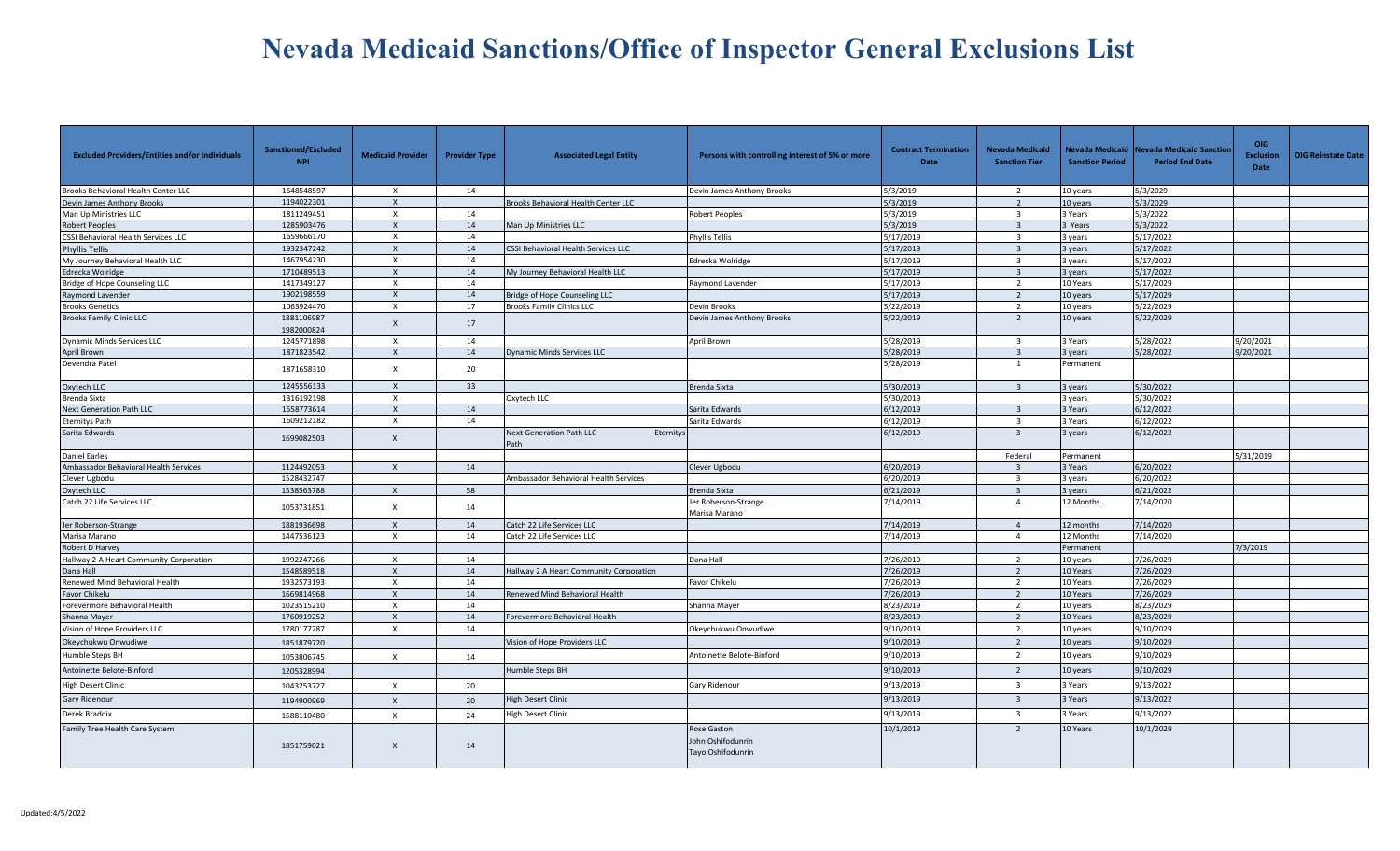| <b>Excluded Providers/Entities and/or Individuals</b> | Sanctioned/Excluded<br><b>NPI</b> | <b>Medicaid Provider</b>  | <b>Provider Type</b> | <b>Associated Legal Entity</b>                 | Persons with controlling interest of 5% or more       | <b>Contract Termination</b><br><b>Date</b> | <b>Nevada Medicaid</b><br><b>Sanction Tier</b> | <b>Sanction Period</b> | Nevada Medicaid Nevada Medicaid Sanctior<br><b>Period End Date</b> | OIG<br><b>Exclusion</b><br><b>Date</b> | <b>OIG Reinstate Date</b> |
|-------------------------------------------------------|-----------------------------------|---------------------------|----------------------|------------------------------------------------|-------------------------------------------------------|--------------------------------------------|------------------------------------------------|------------------------|--------------------------------------------------------------------|----------------------------------------|---------------------------|
| Brooks Behavioral Health Center LLC                   | 1548548597                        | $\times$                  | 14                   |                                                | Devin James Anthony Brooks                            | 5/3/2019                                   | $\overline{2}$                                 | 10 years               | 5/3/2029                                                           |                                        |                           |
| Devin James Anthony Brooks                            | 1194022301                        | $\times$                  |                      | Brooks Behavioral Health Center LLC            |                                                       | 5/3/2019                                   | $\overline{2}$                                 | 10 years               | 5/3/2029                                                           |                                        |                           |
| Man Up Ministries LLC                                 | 1811249451                        | $\boldsymbol{\mathsf{x}}$ | 14                   |                                                | Robert Peoples                                        | 5/3/2019                                   | $\overline{3}$                                 | 3 Years                | 5/3/2022                                                           |                                        |                           |
| Robert Peoples                                        | 1285903476                        | $\boldsymbol{\mathsf{x}}$ | 14                   | Man Up Ministries LLC                          |                                                       | 5/3/2019                                   | $\overline{3}$                                 | Years                  | 5/3/2022                                                           |                                        |                           |
| CSSI Behavioral Health Services LLC                   | 1659666170                        | $\mathsf{x}$              | 14                   |                                                | Phyllis Tellis                                        | 5/17/2019                                  | $\overline{3}$                                 | 3 years                | 5/17/2022                                                          |                                        |                           |
| <b>Phyllis Tellis</b>                                 | 1932347242                        | $\times$                  | 14                   | <b>CSSI Behavioral Health Services LLC</b>     |                                                       | 5/17/2019                                  | $\overline{3}$                                 | 3 years                | 5/17/2022                                                          |                                        |                           |
| My Journey Behavioral Health LLC                      | 1467954230                        | $\boldsymbol{\mathsf{x}}$ | 14                   |                                                | Edrecka Wolridge                                      | 5/17/2019                                  | $\overline{\mathbf{3}}$                        | 3 years                | 5/17/2022                                                          |                                        |                           |
| Edrecka Wolridge                                      | 1710489513                        | $\times$                  | 14                   | My Journey Behavioral Health LLC               |                                                       | 5/17/2019                                  | $\overline{3}$                                 | 3 years                | 5/17/2022                                                          |                                        |                           |
| Bridge of Hope Counseling LLC                         | 1417349127                        | $\times$                  | 14                   |                                                | Raymond Lavender                                      | 5/17/2019                                  | $\overline{2}$                                 | 10 Years               | 5/17/2029                                                          |                                        |                           |
| Raymond Lavender                                      | 1902198559                        | $\mathsf{X}$              | 14                   | Bridge of Hope Counseling LLC                  |                                                       | 5/17/2019                                  | 2                                              | 10 years               | 5/17/2029                                                          |                                        |                           |
| <b>Brooks Genetics</b>                                | 1063924470                        | $\times$                  | 17                   | <b>Brooks Family Clinics LLC</b>               | Devin Brooks                                          | 5/22/2019                                  | $\overline{2}$                                 | 10 years               | 5/22/2029                                                          |                                        |                           |
| <b>Brooks Family Clinic LLC</b>                       | 1881106987<br>1982000824          | $\mathsf{x}$              | 17                   |                                                | Devin James Anthony Brooks                            | 5/22/2019                                  | $\overline{2}$                                 | 10 years               | 5/22/2029                                                          |                                        |                           |
| Dynamic Minds Services LLC                            | 1245771898                        | $\times$                  | 14                   |                                                | April Brown                                           | 5/28/2019                                  | $\overline{3}$                                 | 3 Years                | 5/28/2022                                                          | 9/20/2021                              |                           |
| April Brown                                           | 1871823542                        | $\times$                  | 14                   | <b>Dynamic Minds Services LLC</b>              |                                                       | 5/28/2019                                  |                                                | years                  | 5/28/2022                                                          | 9/20/2021                              |                           |
| Devendra Patel                                        | 1871658310                        | $\times$                  | 20                   |                                                |                                                       | 5/28/2019                                  | 1                                              | Permanent              |                                                                    |                                        |                           |
| Oxytech LLC                                           | 1245556133                        | $\boldsymbol{\mathsf{x}}$ | 33                   |                                                | Brenda Sixta                                          | 5/30/2019                                  | $\overline{3}$                                 | 3 years                | 5/30/2022                                                          |                                        |                           |
| Brenda Sixta                                          | 1316192198                        | $\mathsf{X}$              |                      | Oxytech LLC                                    |                                                       | 5/30/2019                                  |                                                | 3 years                | 5/30/2022                                                          |                                        |                           |
| <b>Next Generation Path LLC</b>                       | 1558773614                        | $\boldsymbol{\mathsf{X}}$ | 14                   |                                                | Sarita Edwards                                        | 6/12/2019                                  | $\overline{\mathbf{3}}$                        | 3 Years                | 6/12/2022                                                          |                                        |                           |
| <b>Eternitys Path</b>                                 | 1609212182                        | $\times$                  | 14                   |                                                | Sarita Edwards                                        | 6/12/2019                                  | $\overline{3}$                                 | 3 Years                | 6/12/2022                                                          |                                        |                           |
| Sarita Edwards                                        | 1699082503                        | $\mathsf{X}$              |                      | Next Generation Path LLC<br>Eternitys<br>ath   |                                                       | 6/12/2019                                  | $\overline{\mathbf{3}}$                        | 3 years                | 6/12/2022                                                          |                                        |                           |
| <b>Daniel Earles</b>                                  |                                   |                           |                      |                                                |                                                       |                                            | Federal                                        | Permanent              |                                                                    | 5/31/2019                              |                           |
| Ambassador Behavioral Health Services                 | 1124492053                        | $\mathsf{X}$              | 14                   |                                                | Clever Ugbodu                                         | 6/20/2019                                  | $\overline{3}$                                 | 3 Years                | 6/20/2022                                                          |                                        |                           |
| Clever Ugbodu                                         | 1528432747                        |                           |                      | Ambassador Behavioral Health Services          |                                                       | 6/20/2019                                  | $\overline{\mathbf{3}}$                        | 3 years                | 6/20/2022                                                          |                                        |                           |
| Oxytech LLC                                           | 1538563788                        | $\mathsf{x}$              | 58                   |                                                | Brenda Sixta                                          | 6/21/2019                                  | $\overline{3}$                                 | years                  | 6/21/2022                                                          |                                        |                           |
| Catch 22 Life Services LLC                            | 1053731851                        | $\times$                  | 14                   |                                                | Jer Roberson-Strange<br>Marisa Marano                 | 7/14/2019                                  | $\overline{a}$                                 | 12 Months              | 7/14/2020                                                          |                                        |                           |
| Jer Roberson-Strange                                  | 1881936698                        | $\mathsf{x}$              | 14                   | Catch 22 Life Services LLC                     |                                                       | 7/14/2019                                  | $\overline{4}$                                 | 12 months              | 7/14/2020                                                          |                                        |                           |
| Marisa Marano                                         | 1447536123                        | X                         | 14                   | Catch 22 Life Services LLC                     |                                                       | 7/14/2019                                  | $\overline{4}$                                 | 12 Months              | 7/14/2020                                                          |                                        |                           |
| Robert D Harvey                                       |                                   |                           |                      |                                                |                                                       |                                            |                                                | Permanent              |                                                                    | 7/3/2019                               |                           |
| Hallway 2 A Heart Community Corporation               | 1992247266                        | X                         | 14                   |                                                | Dana Hall                                             | 7/26/2019                                  | $\overline{2}$                                 | 10 years               | 7/26/2029                                                          |                                        |                           |
| Dana Hall                                             | 1548589518                        | $\mathsf{x}$              | 14                   | <b>Hallway 2 A Heart Community Corporation</b> |                                                       | 7/26/2019                                  | $\overline{2}$                                 | 10 Years               | 7/26/2029                                                          |                                        |                           |
| Renewed Mind Behavioral Health                        | 1932573193                        | $\mathsf{x}$              | 14                   |                                                | Favor Chikelu                                         | 7/26/2019                                  | $\overline{2}$                                 | 10 Years               | 7/26/2029                                                          |                                        |                           |
| Favor Chikelu                                         | 1669814968                        | $\mathsf{x}$              | 14                   | Renewed Mind Behavioral Health                 |                                                       | 7/26/2019                                  | $\overline{2}$                                 | 10 Years               | 7/26/2029                                                          |                                        |                           |
| Forevermore Behavioral Health                         | 1023515210                        | $\times$                  | 14                   |                                                | Shanna Mayer                                          | 8/23/2019                                  | 2                                              | 10 years               | 8/23/2029                                                          |                                        |                           |
| Shanna Mayer                                          | 1760919252                        | $\mathsf{X}$              | 14                   | Forevermore Behavioral Health                  |                                                       | 8/23/2019                                  | $\overline{2}$                                 | 10 Years               | 8/23/2029                                                          |                                        |                           |
| Vision of Hope Providers LLC                          | 1780177287                        | $\times$                  | 14                   |                                                | Okeychukwu Onwudiwe                                   | 9/10/2019                                  | $\overline{2}$                                 | 10 years               | 9/10/2029                                                          |                                        |                           |
| Okeychukwu Onwudiwe                                   | 1851879720                        |                           |                      | Vision of Hope Providers LLC                   |                                                       | 9/10/2019                                  | $\overline{2}$                                 | 10 years               | 9/10/2029                                                          |                                        |                           |
| Humble Steps BH                                       | 1053806745                        | $\times$                  | 14                   |                                                | Antoinette Belote-Binford                             | 9/10/2019                                  | $\overline{2}$                                 | 10 years               | 9/10/2029                                                          |                                        |                           |
| Antoinette Belote-Binford                             | 1205328994                        |                           |                      | Humble Steps BH                                |                                                       | 9/10/2019                                  | $\overline{2}$                                 | 10 years               | 9/10/2029                                                          |                                        |                           |
| <b>High Desert Clinic</b>                             | 1043253727                        | $\times$                  | 20                   |                                                | Gary Ridenour                                         | 9/13/2019                                  | $\overline{3}$                                 | 3 Years                | 9/13/2022                                                          |                                        |                           |
| Gary Ridenour                                         | 1194900969                        | $\mathsf{X}$              | 20                   | <b>High Desert Clinic</b>                      |                                                       | 9/13/2019                                  | $\overline{\mathbf{3}}$                        | 3 Years                | 9/13/2022                                                          |                                        |                           |
| Derek Braddix                                         | 1588110480                        | $\times$                  | 24                   | <b>High Desert Clinic</b>                      |                                                       | 9/13/2019                                  | $\overline{3}$                                 | 3 Years                | 9/13/2022                                                          |                                        |                           |
| Family Tree Health Care System                        | 1851759021                        | $\times$                  | 14                   |                                                | Rose Gaston<br>John Oshifodunrin<br>Tayo Oshifodunrin | 10/1/2019                                  | 2                                              | 10 Years               | 10/1/2029                                                          |                                        |                           |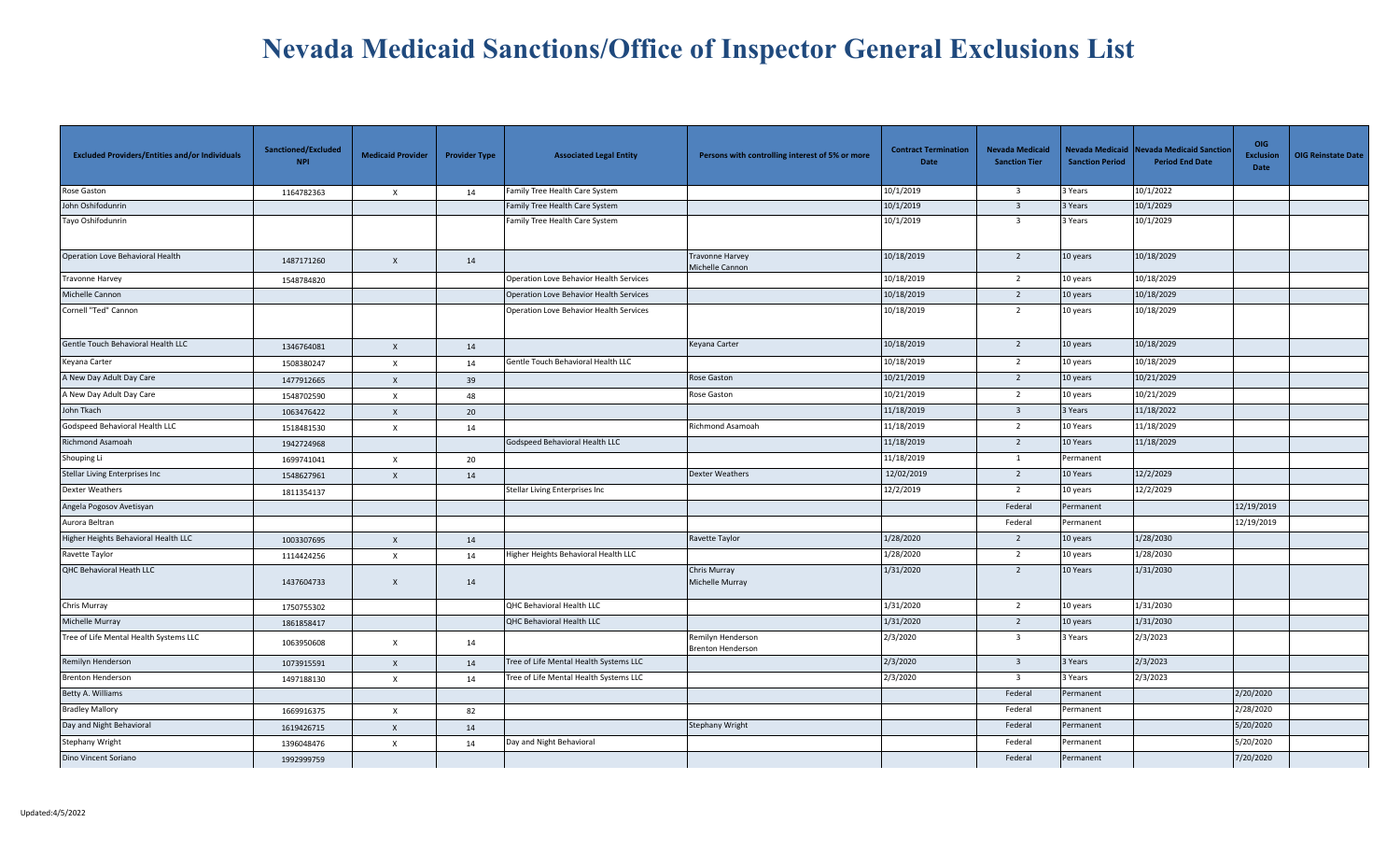| <b>Excluded Providers/Entities and/or Individuals</b> | Sanctioned/Excluded<br><b>NPI</b> | <b>Medicaid Provider</b>  | <b>Provider Type</b> | <b>Associated Legal Entity</b>          | Persons with controlling interest of 5% or more | <b>Contract Termination</b><br>Date | <b>Nevada Medicaid</b><br><b>Sanction Tier</b> | <b>Sanction Period</b> | Nevada Medicaid Nevada Medicaid Sanctior<br><b>Period End Date</b> | OIG<br><b>Exclusion</b><br>Date | <b>OIG Reinstate Date</b> |
|-------------------------------------------------------|-----------------------------------|---------------------------|----------------------|-----------------------------------------|-------------------------------------------------|-------------------------------------|------------------------------------------------|------------------------|--------------------------------------------------------------------|---------------------------------|---------------------------|
| Rose Gaston                                           | 1164782363                        | X                         | 14                   | amily Tree Health Care System           |                                                 | 10/1/2019                           | $\overline{\mathbf{3}}$                        | 3 Years                | 10/1/2022                                                          |                                 |                           |
| John Oshifodunrin                                     |                                   |                           |                      | Family Tree Health Care System          |                                                 | 10/1/2019                           | $\overline{\mathbf{3}}$                        | 3 Years                | 10/1/2029                                                          |                                 |                           |
| Tayo Oshifodunrin                                     |                                   |                           |                      | Family Tree Health Care System          |                                                 | 10/1/2019                           | $\overline{\mathbf{3}}$                        | 3 Years                | 10/1/2029                                                          |                                 |                           |
| Operation Love Behavioral Health                      | 1487171260                        | $\mathsf X$               | 14                   |                                         | Travonne Harvey<br>Michelle Cannon              | 10/18/2019                          | $\overline{2}$                                 | 10 years               | 10/18/2029                                                         |                                 |                           |
| Travonne Harvey                                       | 1548784820                        |                           |                      | Operation Love Behavior Health Services |                                                 | 10/18/2019                          | $\overline{2}$                                 | 10 years               | 10/18/2029                                                         |                                 |                           |
| Michelle Cannon                                       |                                   |                           |                      | Operation Love Behavior Health Services |                                                 | 10/18/2019                          | $\overline{2}$                                 | 10 years               | 10/18/2029                                                         |                                 |                           |
| Cornell "Ted" Cannon                                  |                                   |                           |                      | Operation Love Behavior Health Services |                                                 | 10/18/2019                          | $\overline{2}$                                 | 10 years               | 10/18/2029                                                         |                                 |                           |
| Gentle Touch Behavioral Health LLC                    | 1346764081                        | $\mathsf{x}$              | 14                   |                                         | Keyana Carter                                   | 10/18/2019                          | $\overline{2}$                                 | 10 years               | 10/18/2029                                                         |                                 |                           |
| Keyana Carter                                         | 1508380247                        | $\boldsymbol{\mathsf{X}}$ | 14                   | Gentle Touch Behavioral Health LLC      |                                                 | 10/18/2019                          | $\overline{2}$                                 | 10 years               | 10/18/2029                                                         |                                 |                           |
| A New Day Adult Day Care                              | 1477912665                        | $\boldsymbol{\mathsf{x}}$ | 39                   |                                         | Rose Gaston                                     | 10/21/2019                          | $\overline{2}$                                 | 10 years               | 10/21/2029                                                         |                                 |                           |
| A New Day Adult Day Care                              | 1548702590                        | $\times$                  | 48                   |                                         | Rose Gaston                                     | 10/21/2019                          | $\overline{2}$                                 | 10 years               | 10/21/2029                                                         |                                 |                           |
| John Tkach                                            | 1063476422                        | $\pmb{\chi}$              | 20                   |                                         |                                                 | 11/18/2019                          | $\overline{\mathbf{3}}$                        | 3 Years                | 11/18/2022                                                         |                                 |                           |
| Godspeed Behavioral Health LLC                        | 1518481530                        | $\mathsf{x}$              | 14                   |                                         | Richmond Asamoah                                | 11/18/2019                          | $\overline{2}$                                 | 10 Years               | 11/18/2029                                                         |                                 |                           |
| Richmond Asamoah                                      | 1942724968                        |                           |                      | Godspeed Behavioral Health LLC          |                                                 | 11/18/2019                          | $\overline{2}$                                 | 10 Years               | 11/18/2029                                                         |                                 |                           |
| Shouping Li                                           | 1699741041                        | $\times$                  | 20                   |                                         |                                                 | 11/18/2019                          | $\mathbf{1}$                                   | Permanent              |                                                                    |                                 |                           |
| Stellar Living Enterprises Inc                        | 1548627961                        | $\mathsf{x}$              | 14                   |                                         | <b>Dexter Weathers</b>                          | 12/02/2019                          | $\overline{2}$                                 | 10 Years               | 12/2/2029                                                          |                                 |                           |
| Dexter Weathers                                       | 1811354137                        |                           |                      | Stellar Living Enterprises Inc          |                                                 | 12/2/2019                           | $\overline{2}$                                 | 10 years               | 12/2/2029                                                          |                                 |                           |
| Angela Pogosov Avetisyan                              |                                   |                           |                      |                                         |                                                 |                                     | Federal                                        | Permanent              |                                                                    | 12/19/2019                      |                           |
| Aurora Beltran                                        |                                   |                           |                      |                                         |                                                 |                                     | Federal                                        | Permanent              |                                                                    | 12/19/2019                      |                           |
| Higher Heights Behavioral Health LLC                  | 1003307695                        | $\mathsf{x}$              | 14                   |                                         | Ravette Taylor                                  | 1/28/2020                           | $\overline{2}$                                 | 10 years               | 1/28/2030                                                          |                                 |                           |
| Ravette Taylor                                        | 1114424256                        | $\times$                  | 14                   | Higher Heights Behavioral Health LLC    |                                                 | 1/28/2020                           | 2                                              | 10 years               | 1/28/2030                                                          |                                 |                           |
| QHC Behavioral Heath LLC                              | 1437604733                        | $\boldsymbol{\mathsf{x}}$ | 14                   |                                         | Chris Murray<br>Michelle Murray                 | 1/31/2020                           | $\overline{2}$                                 | 10 Years               | 1/31/2030                                                          |                                 |                           |
| Chris Murray                                          | 1750755302                        |                           |                      | QHC Behavioral Health LLC               |                                                 | 1/31/2020                           | $\overline{2}$                                 | 10 years               | 1/31/2030                                                          |                                 |                           |
| Michelle Murray                                       | 1861858417                        |                           |                      | QHC Behavioral Health LLC               |                                                 | 1/31/2020                           | $\overline{2}$                                 | 10 years               | 1/31/2030                                                          |                                 |                           |
| Tree of Life Mental Health Systems LLC                | 1063950608                        | $\boldsymbol{\mathsf{x}}$ | 14                   |                                         | Remilyn Henderson<br><b>Brenton Henderson</b>   | 2/3/2020                            | $\overline{3}$                                 | 3 Years                | 2/3/2023                                                           |                                 |                           |
| Remilyn Henderson                                     | 1073915591                        | $\mathsf{x}$              | 14                   | Tree of Life Mental Health Systems LLC  |                                                 | 2/3/2020                            | $\overline{\mathbf{3}}$                        | 3 Years                | 2/3/2023                                                           |                                 |                           |
| Brenton Henderson                                     | 1497188130                        | $\mathsf{x}$              | 14                   | Tree of Life Mental Health Systems LLC  |                                                 | 2/3/2020                            | $\overline{\mathbf{3}}$                        | 3 Years                | 2/3/2023                                                           |                                 |                           |
| Betty A. Williams                                     |                                   |                           |                      |                                         |                                                 |                                     | Federal                                        | Permanent              |                                                                    | 2/20/2020                       |                           |
| <b>Bradley Mallory</b>                                | 1669916375                        | $\pmb{\chi}$              | 82                   |                                         |                                                 |                                     | Federal                                        | Permanent              |                                                                    | 2/28/2020                       |                           |
| Day and Night Behavioral                              | 1619426715                        | $\mathsf{x}$              | 14                   |                                         | <b>Stephany Wright</b>                          |                                     | Federal                                        | Permanent              |                                                                    | 5/20/2020                       |                           |
| Stephany Wright                                       | 1396048476                        | $\times$                  | 14                   | Day and Night Behavioral                |                                                 |                                     | Federal                                        | Permanent              |                                                                    | 5/20/2020                       |                           |
| Dino Vincent Soriano                                  | 1992999759                        |                           |                      |                                         |                                                 |                                     | Federal                                        | Permanent              |                                                                    | 7/20/2020                       |                           |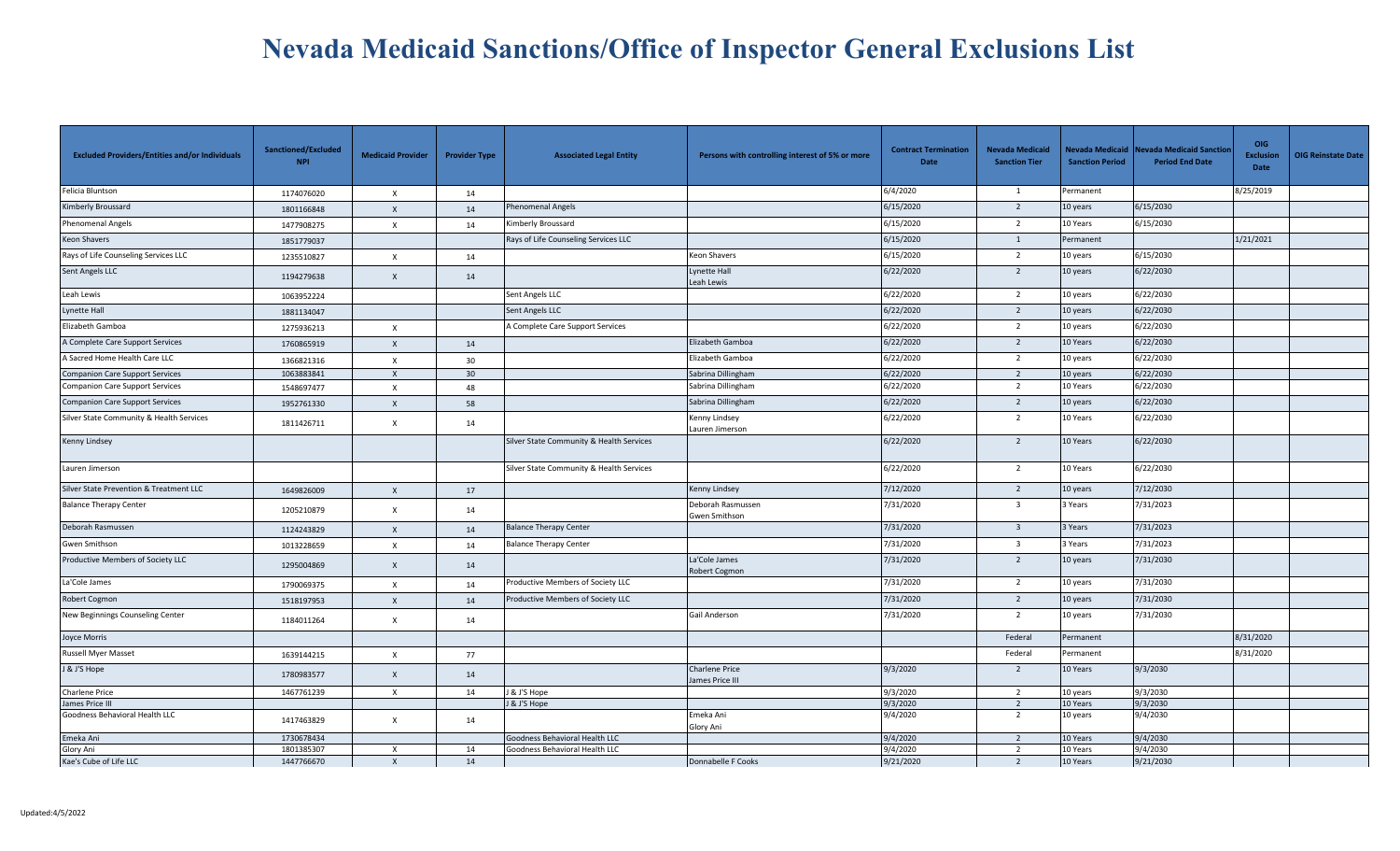| <b>Excluded Providers/Entities and/or Individuals</b> | Sanctioned/Excluded<br><b>NPI</b> | <b>Medicaid Provider</b>  | <b>Provider Type</b> | <b>Associated Legal Entity</b>           | Persons with controlling interest of 5% or more | <b>Contract Termination</b><br><b>Date</b> | <b>Nevada Medicaid</b><br><b>Sanction Tier</b> | <b>Sanction Period</b> | Nevada Medicaid Nevada Medicaid Sanctior<br><b>Period End Date</b> | <b>OIG</b><br><b>Exclusion</b><br><b>Date</b> | <b>OIG Reinstate Date</b> |
|-------------------------------------------------------|-----------------------------------|---------------------------|----------------------|------------------------------------------|-------------------------------------------------|--------------------------------------------|------------------------------------------------|------------------------|--------------------------------------------------------------------|-----------------------------------------------|---------------------------|
| Felicia Bluntson                                      | 1174076020                        | $\times$                  | 14                   |                                          |                                                 | 6/4/2020                                   | 1                                              | Permanent              |                                                                    | 8/25/2019                                     |                           |
| Kimberly Broussard                                    | 1801166848                        | $\mathsf{x}$              | 14                   | Phenomenal Angels                        |                                                 | 6/15/2020                                  | $\overline{2}$                                 | 10 years               | 6/15/2030                                                          |                                               |                           |
| Phenomenal Angels                                     | 1477908275                        | $\mathsf{x}$              | 14                   | Kimberly Broussard                       |                                                 | 6/15/2020                                  | $\overline{2}$                                 | 10 Years               | 6/15/2030                                                          |                                               |                           |
| Keon Shavers                                          | 1851779037                        |                           |                      | Rays of Life Counseling Services LLC     |                                                 | 6/15/2020                                  | $\mathbf{1}$                                   | Permanent              |                                                                    | 1/21/2021                                     |                           |
| Rays of Life Counseling Services LLC                  | 1235510827                        | $\mathsf{x}$              | 14                   |                                          | Keon Shavers                                    | 6/15/2020                                  | $\overline{2}$                                 | 10 years               | 6/15/2030                                                          |                                               |                           |
| Sent Angels LLC                                       | 1194279638                        | $\mathsf{x}$              | 14                   |                                          | <b>Lynette Hall</b><br>Leah Lewis               | 6/22/2020                                  | $\overline{2}$                                 | 10 years               | 6/22/2030                                                          |                                               |                           |
| Leah Lewis                                            | 1063952224                        |                           |                      | Sent Angels LLC                          |                                                 | 6/22/2020                                  | $\overline{2}$                                 | 10 years               | 6/22/2030                                                          |                                               |                           |
| Lynette Hall                                          | 1881134047                        |                           |                      | Sent Angels LLC                          |                                                 | 6/22/2020                                  | $\overline{2}$                                 | 10 years               | 6/22/2030                                                          |                                               |                           |
| Elizabeth Gamboa                                      | 1275936213                        | $\mathsf{x}$              |                      | A Complete Care Support Services         |                                                 | 6/22/2020                                  | $\overline{2}$                                 | 10 years               | 6/22/2030                                                          |                                               |                           |
| A Complete Care Support Services                      | 1760865919                        | $\mathsf{x}$              | 14                   |                                          | Elizabeth Gamboa                                | 6/22/2020                                  | $\overline{2}$                                 | 10 Years               | 6/22/2030                                                          |                                               |                           |
| A Sacred Home Health Care LLC                         | 1366821316                        | $\times$                  | 30                   |                                          | Elizabeth Gamboa                                | 6/22/2020                                  | $\overline{2}$                                 | 10 years               | 6/22/2030                                                          |                                               |                           |
| <b>Companion Care Support Services</b>                | 1063883841                        | $\mathsf{x}$              | 30                   |                                          | Sabrina Dillingham                              | 6/22/2020                                  | $\overline{2}$                                 | 10 years               | 6/22/2030                                                          |                                               |                           |
| <b>Companion Care Support Services</b>                | 1548697477                        | $\times$                  | 48                   |                                          | Sabrina Dillingham                              | 6/22/2020                                  | 2                                              | 10 Years               | 6/22/2030                                                          |                                               |                           |
| <b>Companion Care Support Services</b>                | 1952761330                        | $\mathsf{x}$              | 58                   |                                          | Sabrina Dillingham                              | 6/22/2020                                  | $\overline{2}$                                 | 10 years               | 6/22/2030                                                          |                                               |                           |
| Silver State Community & Health Services              | 1811426711                        | $\mathsf{x}$              | 14                   |                                          | Kenny Lindsey<br>Lauren Jimerson                | 6/22/2020                                  | $\overline{2}$                                 | 10 Years               | 6/22/2030                                                          |                                               |                           |
| Kenny Lindsey                                         |                                   |                           |                      | Silver State Community & Health Services |                                                 | 6/22/2020                                  | $\overline{2}$                                 | 10 Years               | 6/22/2030                                                          |                                               |                           |
| Lauren Jimerson                                       |                                   |                           |                      | Silver State Community & Health Services |                                                 | 6/22/2020                                  | $\overline{2}$                                 | 10 Years               | 6/22/2030                                                          |                                               |                           |
| Silver State Prevention & Treatment LLC               | 1649826009                        | $\mathsf{x}$              | 17                   |                                          | Kenny Lindsey                                   | 7/12/2020                                  | $\overline{2}$                                 | 10 years               | 7/12/2030                                                          |                                               |                           |
| <b>Balance Therapy Center</b>                         | 1205210879                        | $\mathsf{x}$              | 14                   |                                          | Deborah Rasmussen<br>Gwen Smithson              | 7/31/2020                                  | $\overline{\mathbf{3}}$                        | 3 Years                | 7/31/2023                                                          |                                               |                           |
| Deborah Rasmussen                                     | 1124243829                        | $\mathsf{x}$              | 14                   | <b>Balance Therapy Center</b>            |                                                 | 7/31/2020                                  | $\overline{\mathbf{3}}$                        | 3 Years                | 7/31/2023                                                          |                                               |                           |
| Gwen Smithson                                         | 1013228659                        | $\times$                  | 14                   | <b>Balance Therapy Center</b>            |                                                 | 7/31/2020                                  | $\overline{\mathbf{3}}$                        | 3 Years                | 7/31/2023                                                          |                                               |                           |
| Productive Members of Society LLC                     | 1295004869                        | $\mathsf{x}$              | 14                   |                                          | La'Cole James<br>Robert Cogmon                  | 7/31/2020                                  | $\overline{2}$                                 | 10 years               | 7/31/2030                                                          |                                               |                           |
| La'Cole James                                         | 1790069375                        | $\times$                  | 14                   | Productive Members of Society LLC        |                                                 | 7/31/2020                                  | $\overline{2}$                                 | 10 years               | 7/31/2030                                                          |                                               |                           |
| Robert Cogmon                                         | 1518197953                        | $\mathsf{x}$              | 14                   | Productive Members of Society LLC        |                                                 | 7/31/2020                                  | $\overline{2}$                                 | 10 years               | 7/31/2030                                                          |                                               |                           |
| New Beginnings Counseling Center                      | 1184011264                        | $\times$                  | 14                   |                                          | Gail Anderson                                   | 7/31/2020                                  | $\overline{2}$                                 | 10 years               | 7/31/2030                                                          |                                               |                           |
| Joyce Morris                                          |                                   |                           |                      |                                          |                                                 |                                            | Federal                                        | Permanent              |                                                                    | 8/31/2020                                     |                           |
| Russell Myer Masset                                   | 1639144215                        | $\boldsymbol{\mathsf{x}}$ | 77                   |                                          |                                                 |                                            | Federal                                        | Permanent              |                                                                    | 8/31/2020                                     |                           |
| J & J'S Hope                                          | 1780983577                        | $\mathsf{x}$              | 14                   |                                          | <b>Charlene Price</b><br>lames Price III        | 9/3/2020                                   | 2                                              | 10 Years               | 9/3/2030                                                           |                                               |                           |
| <b>Charlene Price</b>                                 | 1467761239                        | X                         | 14                   | J & J'S Hope                             |                                                 | 9/3/2020                                   | $\overline{2}$                                 | 10 years               | 9/3/2030                                                           |                                               |                           |
| James Price III                                       |                                   |                           |                      | & J'S Hope                               |                                                 | 9/3/2020                                   | $\overline{2}$                                 | 10 Years               | 9/3/2030                                                           |                                               |                           |
| Goodness Behavioral Health LLC                        | 1417463829                        | $\mathsf{x}$              | 14                   |                                          | Emeka Ani<br>Glory Ani                          | 9/4/2020                                   | $\overline{2}$                                 | 10 years               | 9/4/2030                                                           |                                               |                           |
| Emeka Ani                                             | 1730678434                        |                           |                      | Goodness Behavioral Health LLC           |                                                 | 9/4/2020                                   | $\overline{2}$                                 | 10 Years               | 9/4/2030                                                           |                                               |                           |
| Glory Ani                                             | 1801385307                        | $\mathsf{x}$              | 14                   | Goodness Behavioral Health LLC           |                                                 | 9/4/2020                                   | $\overline{2}$                                 | 10 Years               | 9/4/2030                                                           |                                               |                           |
| Kae's Cube of Life LLC                                | 1447766670                        | $\mathsf{x}$              | 14                   |                                          | Donnabelle F Cooks                              | 9/21/2020                                  | $\overline{2}$                                 | 10 Years               | 9/21/2030                                                          |                                               |                           |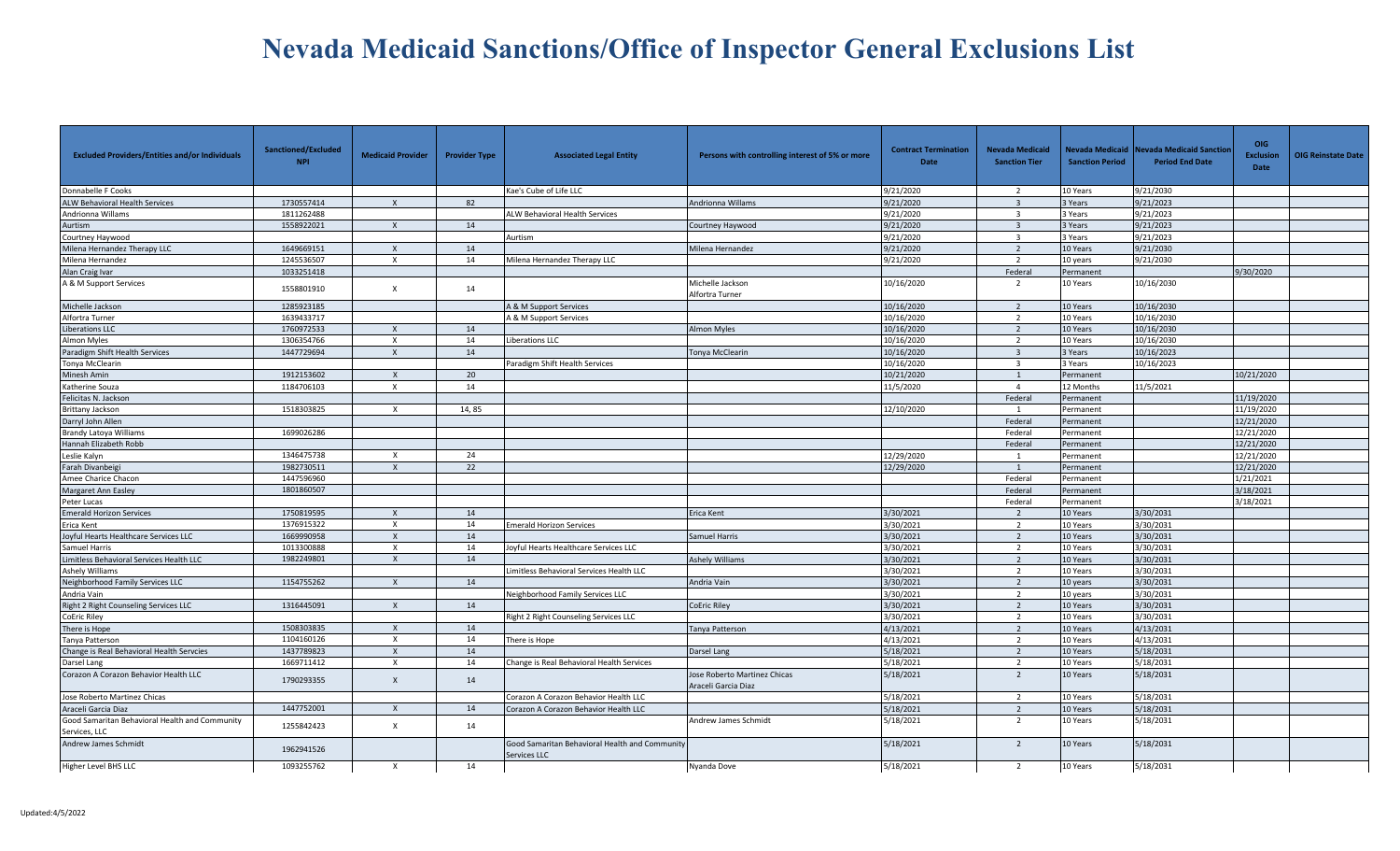| <b>Excluded Providers/Entities and/or Individuals</b>           | Sanctioned/Excluded<br><b>NPI</b> | <b>Medicaid Provider</b> | <b>Provider Type</b> | <b>Associated Legal Entity</b>                                 | Persons with controlling interest of 5% or more            | <b>Contract Termination</b><br><b>Date</b> | <b>Nevada Medicaid</b><br><b>Sanction Tier</b> | <b>Sanction Period</b> | Nevada Medicaid Nevada Medicaid Sanctior<br><b>Period End Date</b> | <b>OIG</b><br><b>Exclusion</b><br>Date | <b>OIG Reinstate Date</b> |
|-----------------------------------------------------------------|-----------------------------------|--------------------------|----------------------|----------------------------------------------------------------|------------------------------------------------------------|--------------------------------------------|------------------------------------------------|------------------------|--------------------------------------------------------------------|----------------------------------------|---------------------------|
| Donnabelle F Cooks                                              |                                   |                          |                      | Kae's Cube of Life LLC                                         |                                                            | 9/21/2020                                  | $\overline{2}$                                 | 10 Years               | 9/21/2030                                                          |                                        |                           |
| <b>ALW Behavioral Health Services</b>                           | 1730557414                        | $\mathsf{X}$             | 82                   |                                                                | Andrionna Willams                                          | 9/21/2020                                  | $\overline{\mathbf{3}}$                        | 3 Years                | 9/21/2023                                                          |                                        |                           |
| Andrionna Willams                                               | 1811262488                        |                          |                      | <b>ALW Behavioral Health Services</b>                          |                                                            | 9/21/2020                                  | $\mathbf{R}$                                   | 3 Years                | 9/21/2023                                                          |                                        |                           |
| Aurtism                                                         | 1558922021                        | $\mathsf{x}$             | 14                   |                                                                | Courtney Haywood                                           | 9/21/2020                                  | $\overline{3}$                                 | 3 Years                | 9/21/2023                                                          |                                        |                           |
| Courtney Haywood                                                |                                   |                          |                      | Aurtism                                                        |                                                            | 9/21/2020                                  | $\overline{\mathbf{3}}$                        | 3 Years                | 9/21/2023                                                          |                                        |                           |
| Milena Hernandez Therapy LLC                                    | 1649669151                        | $\mathsf{x}$             | 14                   |                                                                | Milena Hernandez                                           | 9/21/2020                                  | $\overline{2}$                                 | 10 Years               | 9/21/2030                                                          |                                        |                           |
| Milena Hernandez                                                | 1245536507                        | $\times$                 | 14                   | Milena Hernandez Therapy LLC                                   |                                                            | 9/21/2020                                  | 2                                              | 10 years               | 9/21/2030                                                          |                                        |                           |
| Alan Craig Ivar                                                 | 1033251418                        |                          |                      |                                                                |                                                            |                                            | Federal                                        | Permanent              |                                                                    | 9/30/2020                              |                           |
| A & M Support Services                                          | 1558801910                        | X                        | 14                   |                                                                | Michelle Jackson<br>Alfortra Turner                        | 10/16/2020                                 | $\overline{2}$                                 | 10 Years               | 10/16/2030                                                         |                                        |                           |
| Michelle Jackson                                                | 1285923185                        |                          |                      | A & M Support Services                                         |                                                            | 10/16/2020                                 | 2                                              | 10 Years               | 10/16/2030                                                         |                                        |                           |
| Alfortra Turner                                                 | 1639433717                        |                          |                      | A & M Support Services                                         |                                                            | 10/16/2020                                 | 2                                              | 10 Years               | 10/16/2030                                                         |                                        |                           |
| <b>Liberations LLC</b>                                          | 1760972533                        | $\mathsf{x}$             | 14                   |                                                                | Almon Myles                                                | 10/16/2020                                 | $\overline{2}$                                 | 10 Years               | 10/16/2030                                                         |                                        |                           |
| Almon Myles                                                     | 1306354766                        | $\times$                 | 14                   | Liberations LLC                                                |                                                            | 10/16/2020                                 | 2                                              | 10 Years               | 10/16/2030                                                         |                                        |                           |
| Paradigm Shift Health Services                                  | 1447729694                        | $\times$                 | 14                   |                                                                | Tonya McClearin                                            | 10/16/2020                                 | $\overline{3}$                                 | 3 Years                | 10/16/2023                                                         |                                        |                           |
| Tonya McClearin                                                 |                                   |                          |                      | Paradigm Shift Health Services                                 |                                                            | 10/16/2020                                 | $\overline{\mathbf{3}}$                        | 3 Years                | 10/16/2023                                                         |                                        |                           |
| Minesh Amin                                                     | 1912153602                        | $\mathsf{X}$             | 20                   |                                                                |                                                            | 10/21/2020                                 | 1                                              | Permanent              |                                                                    | 10/21/2020                             |                           |
| Katherine Souza                                                 | 1184706103                        | $\times$                 | 14                   |                                                                |                                                            | 11/5/2020                                  | $\overline{4}$                                 | 12 Months              | 11/5/2021                                                          |                                        |                           |
| Felicitas N. Jackson                                            |                                   |                          |                      |                                                                |                                                            |                                            | Federal                                        | Permanent              |                                                                    | 11/19/2020                             |                           |
| Brittany Jackson                                                | 1518303825                        | X                        | 14,85                |                                                                |                                                            | 12/10/2020                                 | 1                                              | Permanent              |                                                                    | 11/19/2020                             |                           |
| Darryl John Allen                                               |                                   |                          |                      |                                                                |                                                            |                                            | Federal                                        | Permanent              |                                                                    | 12/21/2020                             |                           |
| Brandy Latoya Williams                                          | 1699026286                        |                          |                      |                                                                |                                                            |                                            | Federal                                        | Permanent              |                                                                    | 12/21/2020                             |                           |
| Hannah Elizabeth Robb                                           |                                   |                          |                      |                                                                |                                                            |                                            | Federal                                        | Permanent              |                                                                    | 12/21/2020                             |                           |
| Leslie Kalyn                                                    | 1346475738                        | X                        | 24                   |                                                                |                                                            | 12/29/2020                                 | $\mathbf{1}$                                   | Permanent              |                                                                    | 12/21/2020                             |                           |
| Farah Divanbeigi                                                | 1982730511                        | $\mathsf{x}$             | 22                   |                                                                |                                                            | 12/29/2020                                 |                                                | Permanent              |                                                                    | 12/21/2020                             |                           |
| Amee Charice Chacon                                             | 1447596960                        |                          |                      |                                                                |                                                            |                                            | Federal                                        | Permanent              |                                                                    | 1/21/2021                              |                           |
| Margaret Ann Easley                                             | 1801860507                        |                          |                      |                                                                |                                                            |                                            | Federal                                        | Permanent              |                                                                    | 3/18/2021                              |                           |
| Peter Lucas                                                     |                                   |                          |                      |                                                                |                                                            |                                            | Federal                                        | Permanent              |                                                                    | 3/18/2021                              |                           |
| <b>Emerald Horizon Services</b>                                 | 1750819595                        | $\times$                 | 14                   |                                                                | Erica Kent                                                 | 3/30/2021                                  | 2                                              | 10 Years               | 3/30/2031                                                          |                                        |                           |
| Erica Kent                                                      | 1376915322                        | $\mathsf{x}$             | 14                   | <b>Emerald Horizon Services</b>                                |                                                            | 3/30/2021                                  | 2                                              | 10 Years               | 3/30/2031                                                          |                                        |                           |
| Joyful Hearts Healthcare Services LLC                           | 1669990958                        | $\mathsf{x}$             | 14                   |                                                                | Samuel Harris                                              | 3/30/2021                                  | $\overline{2}$                                 | 10 Years               | 3/30/2031                                                          |                                        |                           |
| Samuel Harris                                                   | 1013300888                        | $\times$                 | 14                   | Joyful Hearts Healthcare Services LLC                          |                                                            | 3/30/2021                                  | $\overline{2}$                                 | 10 Years               | 3/30/2031                                                          |                                        |                           |
| Limitless Behavioral Services Health LLC                        | 1982249801                        | $\mathsf{x}$             | 14                   |                                                                | <b>Ashely Williams</b>                                     | 3/30/2021                                  | $\overline{2}$                                 | 10 Years               | 3/30/2031                                                          |                                        |                           |
| Ashely Williams                                                 |                                   |                          |                      | imitless Behavioral Services Health LLC                        |                                                            | 3/30/2021                                  | 2                                              | 10 Years               | 3/30/2031                                                          |                                        |                           |
| Neighborhood Family Services LLC                                | 1154755262                        | $\mathsf{X}$             | 14                   |                                                                | Andria Vain                                                | 3/30/2021                                  | $\overline{2}$                                 | 10 years               | 3/30/2031                                                          |                                        |                           |
| Andria Vain                                                     |                                   |                          |                      | Neighborhood Family Services LLC                               |                                                            | 3/30/2021                                  | $\overline{2}$                                 | 10 years               | 3/30/2031                                                          |                                        |                           |
| Right 2 Right Counseling Services LLC                           | 1316445091                        | $\times$                 | 14                   |                                                                | <b>CoEric Riley</b>                                        | 3/30/2021                                  | $\overline{2}$                                 | 10 Years               | 3/30/2031                                                          |                                        |                           |
| <b>CoEric Riley</b>                                             |                                   |                          |                      | Right 2 Right Counseling Services LLC                          |                                                            | 3/30/2021                                  | $\overline{2}$                                 | 10 Years               | 3/30/2031                                                          |                                        |                           |
| There is Hope                                                   | 1508303835                        | $\mathsf{X}$             | 14                   |                                                                | Tanya Patterson                                            | 4/13/2021                                  | $\overline{2}$                                 | 10 Years               | 4/13/2031                                                          |                                        |                           |
| Tanva Patterson                                                 | 1104160126                        | $\mathsf{x}$             | 14                   | There is Hope                                                  |                                                            | 4/13/2021                                  | $\overline{2}$                                 | 10 Years               | 4/13/2031                                                          |                                        |                           |
| Change is Real Behavioral Health Servcies                       | 1437789823                        | $\mathsf{X}$             | 14                   |                                                                | Darsel Lang                                                | 5/18/2021                                  | $\overline{2}$                                 | 10 Years               | 5/18/2031                                                          |                                        |                           |
| Darsel Lang                                                     | 1669711412                        | X                        | 14                   | Change is Real Behavioral Health Services                      |                                                            | 5/18/2021                                  | 2                                              | 10 Years               | 5/18/2031                                                          |                                        |                           |
| Corazon A Corazon Behavior Health LLC                           | 1790293355                        | $\mathsf{x}$             | 14                   |                                                                | <b>Jose Roberto Martinez Chicas</b><br>Araceli Garcia Diaz | 5/18/2021                                  | $\overline{2}$                                 | 10 Years               | 5/18/2031                                                          |                                        |                           |
| Jose Roberto Martinez Chicas                                    |                                   |                          |                      | Corazon A Corazon Behavior Health LLC                          |                                                            | 5/18/2021                                  | $\overline{2}$                                 | 10 Years               | 5/18/2031                                                          |                                        |                           |
| Araceli Garcia Diaz                                             | 1447752001                        | $\mathsf{x}$             | 14                   | Corazon A Corazon Behavior Health LLC                          |                                                            | 5/18/2021                                  | $\overline{2}$                                 | 10 Years               | 5/18/2031                                                          |                                        |                           |
| Good Samaritan Behavioral Health and Community<br>Services, LLC | 1255842423                        | $\mathsf{x}$             | 14                   |                                                                | Andrew James Schmidt                                       | 5/18/2021                                  | $\overline{2}$                                 | 10 Years               | 5/18/2031                                                          |                                        |                           |
| Andrew James Schmidt                                            | 1962941526                        |                          |                      | Good Samaritan Behavioral Health and Community<br>Services LLC |                                                            | 5/18/2021                                  | $\overline{2}$                                 | 10 Years               | 5/18/2031                                                          |                                        |                           |
| Higher Level BHS LLC                                            | 1093255762                        | $\times$                 | 14                   |                                                                | Nyanda Dove                                                | 5/18/2021                                  | 2                                              | 10 Years               | 5/18/2031                                                          |                                        |                           |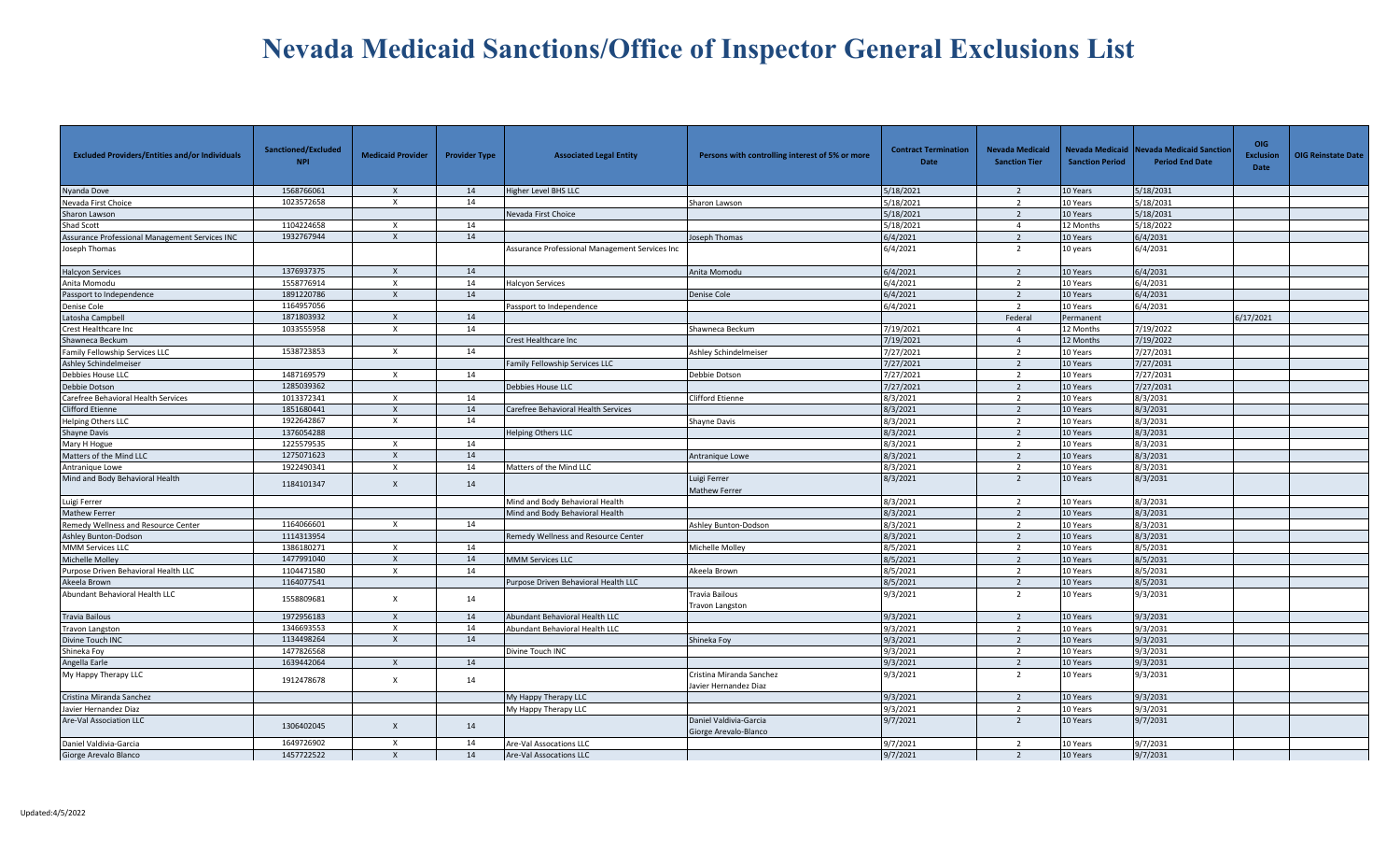| <b>Excluded Providers/Entities and/or Individuals</b> | Sanctioned/Excluded<br><b>NPI</b> | <b>Medicaid Provider</b>  | <b>Provider Type</b> | <b>Associated Legal Entity</b>                 | Persons with controlling interest of 5% or more   | <b>Contract Termination</b><br>Date | <b>Nevada Medicaid</b><br><b>Sanction Tier</b> | <b>Sanction Period</b> | Nevada Medicaid Nevada Medicaid Sanctior<br><b>Period End Date</b> | OIG<br><b>Exclusion</b><br><b>Date</b> | <b>OIG Reinstate Date</b> |
|-------------------------------------------------------|-----------------------------------|---------------------------|----------------------|------------------------------------------------|---------------------------------------------------|-------------------------------------|------------------------------------------------|------------------------|--------------------------------------------------------------------|----------------------------------------|---------------------------|
| Nyanda Dove                                           | 1568766061                        | $\mathsf{X}$              | 14                   | Higher Level BHS LLC                           |                                                   | 5/18/2021                           | 2                                              | 10 Years               | 5/18/2031                                                          |                                        |                           |
| Nevada First Choice                                   | 1023572658                        | $\mathsf{x}$              | 14                   |                                                | Sharon Lawson                                     | 5/18/2021                           | $\overline{2}$                                 | 10 Years               | 5/18/2031                                                          |                                        |                           |
| Sharon Lawson                                         |                                   |                           |                      | Nevada First Choice                            |                                                   | 5/18/2021                           | $\overline{2}$                                 | 10 Years               | 5/18/2031                                                          |                                        |                           |
| Shad Scott                                            | 1104224658                        | $\boldsymbol{\mathsf{x}}$ | 14                   |                                                |                                                   | 5/18/2021                           | $\overline{4}$                                 | 12 Months              | 5/18/2022                                                          |                                        |                           |
| Assurance Professional Management Services INC        | 1932767944                        | $\mathsf{x}$              | 14                   |                                                | Joseph Thomas                                     | 6/4/2021                            | $\overline{2}$                                 | 10 Years               | 6/4/2031                                                           |                                        |                           |
| Joseph Thomas                                         |                                   |                           |                      | Assurance Professional Management Services Inc |                                                   | 6/4/2021                            | 2                                              | 10 years               | 6/4/2031                                                           |                                        |                           |
| <b>Halcyon Services</b>                               | 1376937375                        | $\boldsymbol{\mathsf{X}}$ | 14                   |                                                | Anita Momodu                                      | 6/4/2021                            | $\overline{2}$                                 | 10 Years               | 6/4/2031                                                           |                                        |                           |
| Anita Momodu                                          | 1558776914                        | $\times$                  | 14                   | Halcyon Services                               |                                                   | 6/4/2021                            | $\overline{2}$                                 | 10 Years               | 6/4/2031                                                           |                                        |                           |
| Passport to Independence                              | 1891220786                        | $\mathsf{X}$              | 14                   |                                                | Denise Cole                                       | 6/4/2021                            | $\overline{2}$                                 | 10 Years               | 6/4/2031                                                           |                                        |                           |
| Denise Cole                                           | 1164957056                        |                           |                      | assport to Independence                        |                                                   | 6/4/2021                            | $\overline{2}$                                 | 10 Years               | 6/4/2031                                                           |                                        |                           |
| Latosha Campbell                                      | 1871803932                        | $\times$                  | 14                   |                                                |                                                   |                                     | Federal                                        | Permanent              |                                                                    | 6/17/2021                              |                           |
| <b>Crest Healthcare Inc</b>                           | 1033555958                        | $\times$                  | 14                   |                                                | Shawneca Beckum                                   | 7/19/2021                           | $\overline{4}$                                 | 12 Months              | 7/19/2022                                                          |                                        |                           |
| Shawneca Beckum                                       |                                   |                           |                      | Crest Healthcare Inc                           |                                                   | 7/19/2021                           | $\overline{4}$                                 | 12 Months              | 7/19/2022                                                          |                                        |                           |
| <b>Family Fellowship Services LLC</b>                 | 1538723853                        | $\times$                  | 14                   |                                                | Ashley Schindelmeiser                             | 7/27/2021                           | $\overline{2}$                                 | 10 Years               | 7/27/2031                                                          |                                        |                           |
| <b>Ashley Schindelmeiser</b>                          |                                   |                           |                      | Family Fellowship Services LLC                 |                                                   | 7/27/2021                           | $\overline{2}$                                 | 10 Years               | 7/27/2031                                                          |                                        |                           |
| Debbies House LLC                                     | 1487169579                        | $\boldsymbol{\mathsf{x}}$ | 14                   |                                                | Debbie Dotson                                     | 7/27/2021                           | 2                                              | 10 Years               | 7/27/2031                                                          |                                        |                           |
| Debbie Dotson                                         | 1285039362                        |                           |                      | Debbies House LLC                              |                                                   | 7/27/2021                           | $\overline{2}$                                 | 10 Years               | 7/27/2031                                                          |                                        |                           |
| Carefree Behavioral Health Services                   | 1013372341                        | $\times$                  | 14                   |                                                | Clifford Etienne                                  | 8/3/2021                            | $\overline{2}$                                 | 10 Years               | 8/3/2031                                                           |                                        |                           |
| <b>Clifford Etienne</b>                               | 1851680441                        | $\boldsymbol{\mathsf{x}}$ | 14                   | Carefree Behavioral Health Services            |                                                   | 8/3/2021                            | $\overline{2}$                                 | 10 Years               | 8/3/2031                                                           |                                        |                           |
| <b>Helping Others LLC</b>                             | 1922642867                        | $\boldsymbol{\mathsf{x}}$ | 14                   |                                                | Shayne Davis                                      | 8/3/2021                            | $\overline{2}$                                 | 10 Years               | 8/3/2031                                                           |                                        |                           |
| Shayne Davis                                          | 1376054288                        |                           |                      | <b>Helping Others LLC</b>                      |                                                   | 8/3/2021                            | $\overline{2}$                                 | 10 Years               | 8/3/2031                                                           |                                        |                           |
| Mary H Hogue                                          | 1225579535                        | $\times$                  | 14                   |                                                |                                                   | 8/3/2021                            | $\overline{2}$                                 | 10 Years               | 8/3/2031                                                           |                                        |                           |
| Matters of the Mind LLC                               | 1275071623                        | $\boldsymbol{\mathsf{x}}$ | 14                   |                                                | Antranique Lowe                                   | 8/3/2021                            | $\overline{2}$                                 | 10 Years               | 8/3/2031                                                           |                                        |                           |
| Antranique Lowe                                       | 1922490341                        | $\times$                  | 14                   | Matters of the Mind LLC                        |                                                   | 8/3/2021                            | $\overline{2}$                                 | 10 Years               | 8/3/2031                                                           |                                        |                           |
| Mind and Body Behavioral Health                       | 1184101347                        | $\boldsymbol{\mathsf{x}}$ | 14                   |                                                | Luigi Ferrer<br>Mathew Ferrer                     | 8/3/2021                            | $\overline{2}$                                 | 10 Years               | 8/3/2031                                                           |                                        |                           |
| Luigi Ferrer                                          |                                   |                           |                      | Mind and Body Behavioral Health                |                                                   | 8/3/2021                            | $\overline{2}$                                 | 10 Years               | 8/3/2031                                                           |                                        |                           |
| <b>Mathew Ferrer</b>                                  |                                   |                           |                      | Mind and Body Behavioral Health                |                                                   | 8/3/2021                            | $\overline{2}$                                 | 10 Years               | 8/3/2031                                                           |                                        |                           |
| Remedy Wellness and Resource Center                   | 1164066601                        | X                         | 14                   |                                                | Ashley Bunton-Dodson                              | 8/3/2021                            | $\overline{2}$                                 | 10 Years               | 8/3/2031                                                           |                                        |                           |
| Ashley Bunton-Dodson                                  | 1114313954                        |                           |                      | emedy Wellness and Resource Center             |                                                   | 8/3/2021                            | 2                                              | 10 Years               | 8/3/2031                                                           |                                        |                           |
| <b>MMM Services LLC</b>                               | 1386180271                        | $\times$                  | 14                   |                                                | Michelle Mollev                                   | 8/5/2021                            | $\overline{2}$                                 | 10 Years               | 8/5/2031                                                           |                                        |                           |
| Michelle Molley                                       | 1477991040                        | $\mathsf{X}$              | 14                   | <b>MMM Services LLC</b>                        |                                                   | 8/5/2021                            | $\overline{2}$                                 | 10 Years               | 8/5/2031                                                           |                                        |                           |
| Purpose Driven Behavioral Health LLC                  | 1104471580                        | $\boldsymbol{\mathsf{x}}$ | 14                   |                                                | Akeela Brown                                      | 8/5/2021                            | 2                                              | 10 Years               | 8/5/2031                                                           |                                        |                           |
| Akeela Brown                                          | 1164077541                        |                           |                      | urpose Driven Behavioral Health LLC            |                                                   | 8/5/2021                            | 2                                              | 10 Years               | 8/5/2031                                                           |                                        |                           |
| Abundant Behavioral Health LLC                        | 1558809681                        | $\times$                  | 14                   |                                                | Travia Bailous<br>Travon Langston                 | 9/3/2021                            | $\overline{2}$                                 | 10 Years               | 9/3/2031                                                           |                                        |                           |
| <b>Travia Bailous</b>                                 | 1972956183                        | $\times$                  | 14                   | Abundant Behavioral Health LLC                 |                                                   | 9/3/2021                            | 2                                              | 10 Years               | 9/3/2031                                                           |                                        |                           |
| <b>Travon Langston</b>                                | 1346693553                        | $\times$                  | 14                   | Abundant Behavioral Health LLC                 |                                                   | 9/3/2021                            | 2                                              | 10 Years               | 9/3/2031                                                           |                                        |                           |
| Divine Touch INC                                      | 1134498264                        | $\times$                  | 14                   |                                                | Shineka Foy                                       | 9/3/2021                            | 2                                              | 10 Years               | 9/3/2031                                                           |                                        |                           |
| Shineka Foy                                           | 1477826568                        |                           |                      | Divine Touch INC                               |                                                   | 9/3/2021                            | $\overline{2}$                                 | 10 Years               | 9/3/2031                                                           |                                        |                           |
| Angella Earle                                         | 1639442064                        | $\boldsymbol{\mathsf{X}}$ | 14                   |                                                |                                                   | 9/3/2021                            | 2                                              | 10 Years               | 9/3/2031                                                           |                                        |                           |
| My Happy Therapy LLC                                  | 1912478678                        | $\times$                  | 14                   |                                                | Cristina Miranda Sanchez<br>Javier Hernandez Diaz | 9/3/2021                            | $\overline{2}$                                 | 10 Years               | 9/3/2031                                                           |                                        |                           |
| Cristina Miranda Sanchez                              |                                   |                           |                      | My Happy Therapy LLC                           |                                                   | 9/3/2021                            | $\overline{2}$                                 | 10 Years               | 9/3/2031                                                           |                                        |                           |
| Javier Hernandez Diaz                                 |                                   |                           |                      | My Happy Therapy LLC                           |                                                   | 9/3/2021                            | 2                                              | 10 Years               | 9/3/2031                                                           |                                        |                           |
| Are-Val Association LLC                               | 1306402045                        | $\boldsymbol{\mathsf{x}}$ | 14                   |                                                | Daniel Valdivia-Garcia<br>Giorge Arevalo-Blanco   | 9/7/2021                            | $\overline{2}$                                 | 10 Years               | 9/7/2031                                                           |                                        |                           |
| Daniel Valdivia-Garcia                                | 1649726902                        | $\times$                  | 14                   | Are-Val Assocations LLC                        |                                                   | 9/7/2021                            | 2                                              | 10 Years               | 9/7/2031                                                           |                                        |                           |
| Giorge Arevalo Blanco                                 | 1457722522                        | $\mathsf{x}$              | 14                   | Are-Val Assocations LLC                        |                                                   | 9/7/2021                            | $\overline{2}$                                 | 10 Years               | 9/7/2031                                                           |                                        |                           |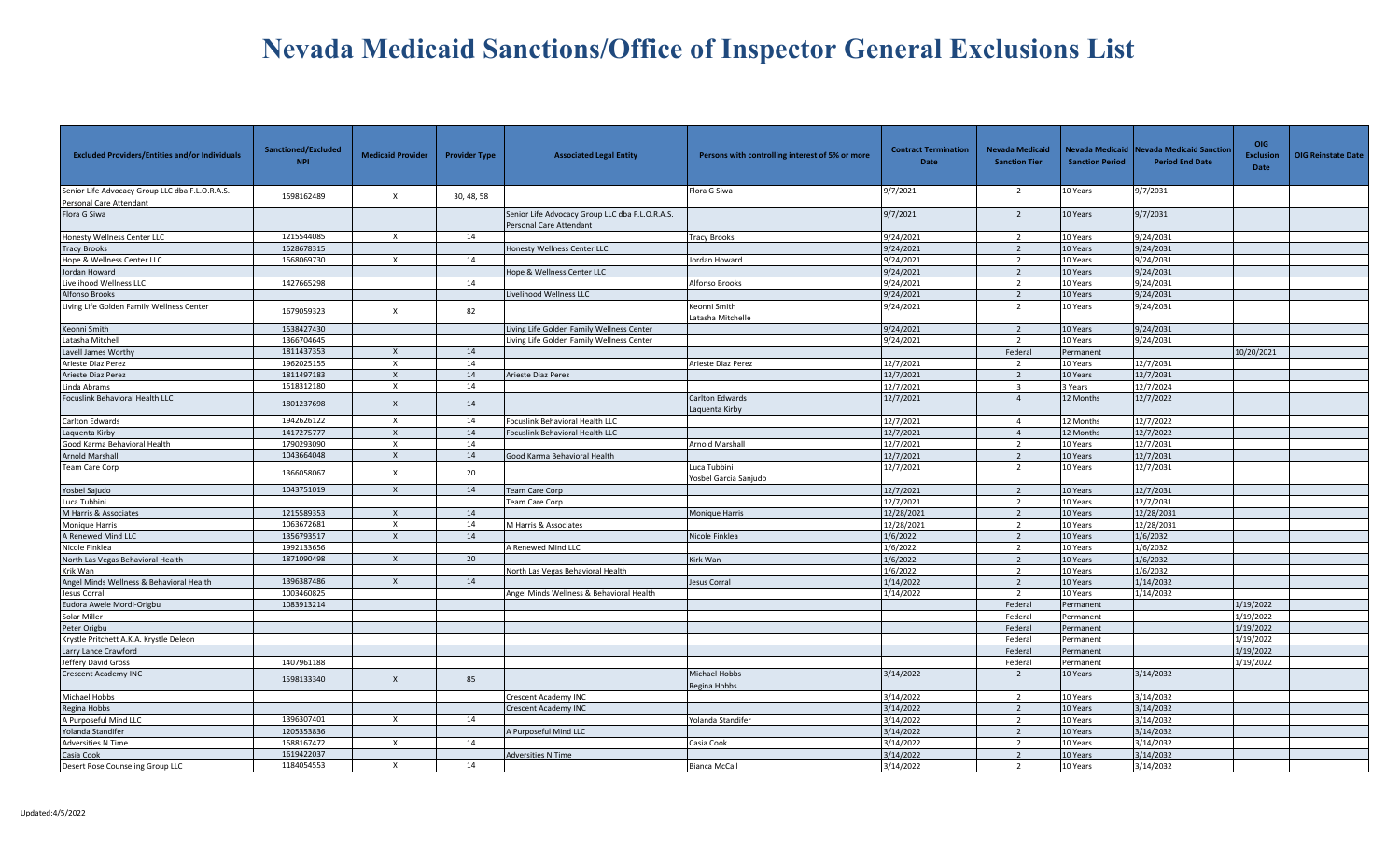| <b>Excluded Providers/Entities and/or Individuals</b>                      | Sanctioned/Excluded<br><b>NPI</b> | <b>Medicaid Provider</b>  | <b>Provider Type</b> | <b>Associated Legal Entity</b>                                             | Persons with controlling interest of 5% or more | <b>Contract Termination</b><br>Date | <b>Nevada Medicaid</b><br><b>Sanction Tier</b> | Nevada Medicaid<br><b>Sanction Period</b> | <b>Jevada Medicaid Sanctior</b><br><b>Period End Date</b> | <b>OIG</b><br><b>Exclusion</b><br>Date | <b>OIG Reinstate Date</b> |
|----------------------------------------------------------------------------|-----------------------------------|---------------------------|----------------------|----------------------------------------------------------------------------|-------------------------------------------------|-------------------------------------|------------------------------------------------|-------------------------------------------|-----------------------------------------------------------|----------------------------------------|---------------------------|
| Senior Life Advocacy Group LLC dba F.L.O.R.A.S.<br>Personal Care Attendant | 1598162489                        | $\mathsf{X}$              | 30, 48, 58           |                                                                            | Flora G Siwa                                    | 9/7/2021                            | $\overline{2}$                                 | 10 Years                                  | 9/7/2031                                                  |                                        |                           |
| Flora G Siwa                                                               |                                   |                           |                      | Senior Life Advocacy Group LLC dba F.L.O.R.A.S.<br>Personal Care Attendant |                                                 | 9/7/2021                            | $\overline{2}$                                 | 10 Years                                  | 9/7/2031                                                  |                                        |                           |
| Honesty Wellness Center LLC                                                | 1215544085                        | X                         | 14                   |                                                                            | <b>Tracy Brooks</b>                             | 9/24/2021                           | $\overline{2}$                                 | 10 Years                                  | 9/24/2031                                                 |                                        |                           |
| <b>Tracy Brooks</b>                                                        | 1528678315                        |                           |                      | <b>Honesty Wellness Center LLC</b>                                         |                                                 | 9/24/2021                           | $\overline{2}$                                 | 10 Years                                  | 9/24/2031                                                 |                                        |                           |
| Hope & Wellness Center LLC                                                 | 1568069730                        | $\mathsf{x}$              | 14                   |                                                                            | Jordan Howard                                   | 9/24/2021                           | $\overline{2}$                                 | 10 Years                                  | 9/24/2031                                                 |                                        |                           |
| lordan Howard                                                              |                                   |                           |                      | lope & Wellness Center LLC                                                 |                                                 | 9/24/2021                           | $\overline{2}$                                 | 10 Years                                  | 9/24/2031                                                 |                                        |                           |
| ivelihood Wellness LLC                                                     | 1427665298                        |                           | 14                   |                                                                            | <b>Alfonso Brooks</b>                           | 9/24/2021                           | $\overline{2}$                                 | 10 Years                                  | 9/24/2031                                                 |                                        |                           |
| Alfonso Brooks                                                             |                                   |                           |                      | ivelihood Wellness LLC                                                     |                                                 | 9/24/2021                           | $\overline{2}$                                 | 10 Years                                  | 9/24/2031                                                 |                                        |                           |
| Living Life Golden Family Wellness Center                                  | 1679059323                        | $\mathsf{x}$              | 82                   |                                                                            | Keonni Smith<br>Latasha Mitchelle               | 9/24/2021                           | $\overline{2}$                                 | 10 Years                                  | 9/24/2031                                                 |                                        |                           |
| Keonni Smith                                                               | 1538427430                        |                           |                      | Living Life Golden Family Wellness Center                                  |                                                 | 9/24/2021                           | $\overline{2}$                                 | 10 Years                                  | 9/24/2031                                                 |                                        |                           |
| Latasha Mitchell                                                           | 1366704645                        |                           |                      | Living Life Golden Family Wellness Center                                  |                                                 | 9/24/2021                           | $\overline{2}$                                 | 10 Years                                  | 9/24/2031                                                 |                                        |                           |
| Lavell James Worthy                                                        | 1811437353                        | $\times$                  | 14                   |                                                                            |                                                 |                                     | Federal                                        | Permanent                                 |                                                           | 10/20/2021                             |                           |
| Arieste Diaz Perez                                                         | 1962025155                        | $\times$                  | 14                   |                                                                            | Arieste Diaz Perez                              | 12/7/2021                           | $\overline{2}$                                 | 10 Years                                  | 12/7/2031                                                 |                                        |                           |
| Arieste Diaz Perez                                                         | 1811497183                        | $\mathsf{X}$              | 14                   | Arieste Diaz Perez                                                         |                                                 | 12/7/2021                           | 2                                              | 10 Years                                  | 12/7/2031                                                 |                                        |                           |
| inda Abrams.                                                               | 1518312180                        | $\boldsymbol{\mathsf{x}}$ | 14                   |                                                                            |                                                 | 12/7/2021                           | $\overline{3}$                                 | 3 Years                                   | 12/7/2024                                                 |                                        |                           |
| Focuslink Behavioral Health LLC                                            | 1801237698                        | $\mathsf{x}$              | 14                   |                                                                            | Carlton Edwards<br>Laquenta Kirby               | 12/7/2021                           | $\overline{4}$                                 | 12 Months                                 | 12/7/2022                                                 |                                        |                           |
| Carlton Edwards                                                            | 1942626122                        | $\boldsymbol{\mathsf{x}}$ | 14                   | Ocuslink Behavioral Health LLC                                             |                                                 | 12/7/2021                           | $\overline{4}$                                 | 12 Months                                 | 12/7/2022                                                 |                                        |                           |
| Laquenta Kirby                                                             | 1417275777                        | $\times$                  | 14                   | Focuslink Behavioral Health LLC                                            |                                                 | 12/7/2021                           | $\overline{4}$                                 | 12 Months                                 | 12/7/2022                                                 |                                        |                           |
| Good Karma Behavioral Health                                               | 1790293090                        | $\times$                  | 14                   |                                                                            | Arnold Marshall                                 | 12/7/2021                           | $\overline{2}$                                 | 10 Years                                  | 12/7/2031                                                 |                                        |                           |
| Arnold Marshall                                                            | 1043664048                        | $\mathsf{x}$              | 14                   | Good Karma Behavioral Health                                               |                                                 | 12/7/2021                           | $\overline{2}$                                 | LO Years                                  | 12/7/2031                                                 |                                        |                           |
| <b>Team Care Corp</b>                                                      | 1366058067                        | $\times$                  | 20                   |                                                                            | Luca Tubbini<br>Yosbel Garcia Sanjudo           | 12/7/2021                           | $\overline{2}$                                 | 10 Years                                  | 12/7/2031                                                 |                                        |                           |
| Yosbel Sajudo                                                              | 1043751019                        | $\times$                  | 14                   | <b>Team Care Corp</b>                                                      |                                                 | 12/7/2021                           | 2                                              | 10 Years                                  | 12/7/2031                                                 |                                        |                           |
| Luca Tubbini                                                               |                                   |                           |                      | Team Care Corp                                                             |                                                 | 12/7/2021                           | $\overline{2}$                                 | 10 Years                                  | 12/7/2031                                                 |                                        |                           |
| M Harris & Associates                                                      | 1215589353                        | $\times$                  | 14                   |                                                                            | <b>Monique Harris</b>                           | 12/28/2021                          | $\overline{2}$                                 | 10 Years                                  | 12/28/2031                                                |                                        |                           |
| Monique Harris                                                             | 1063672681                        | $\mathsf{X}$              | 14                   | M Harris & Associates                                                      |                                                 | 12/28/2021                          | $\overline{2}$                                 | 10 Years                                  | 12/28/2031                                                |                                        |                           |
| A Renewed Mind LLC                                                         | 1356793517                        | $\times$                  | 14                   |                                                                            | Nicole Finklea                                  | 1/6/2022                            | 2                                              | 10 Years                                  | 1/6/2032                                                  |                                        |                           |
| Nicole Finklea                                                             | 1992133656                        |                           |                      | A Renewed Mind LLC                                                         |                                                 | 1/6/2022                            | $\overline{2}$                                 | 10 Years                                  | 1/6/2032                                                  |                                        |                           |
| North Las Vegas Behavioral Health                                          | 1871090498                        | $\mathsf{X}$              | 20                   |                                                                            | Kirk Wan                                        | 1/6/2022                            | 2                                              | 10 Years                                  | 1/6/2032                                                  |                                        |                           |
| Krik Wan                                                                   |                                   |                           |                      | North Las Vegas Behavioral Health                                          |                                                 | 1/6/2022                            | 2                                              | 10 Years                                  | 1/6/2032                                                  |                                        |                           |
| Angel Minds Wellness & Behavioral Health                                   | 1396387486                        | $\times$                  | 14                   |                                                                            | Jesus Corral                                    | 1/14/2022                           | $\overline{2}$                                 | 10 Years                                  | 1/14/2032                                                 |                                        |                           |
| Jesus Corral                                                               | 1003460825                        |                           |                      | Angel Minds Wellness & Behavioral Health                                   |                                                 | 1/14/2022                           | $\overline{2}$                                 | 10 Years                                  | 1/14/2032                                                 |                                        |                           |
| Eudora Awele Mordi-Origbu                                                  | 1083913214                        |                           |                      |                                                                            |                                                 |                                     | Federal                                        | Permanent                                 |                                                           | 1/19/2022                              |                           |
| Solar Miller                                                               |                                   |                           |                      |                                                                            |                                                 |                                     | Federal                                        | Permanent                                 |                                                           | 1/19/2022                              |                           |
| Peter Origbu                                                               |                                   |                           |                      |                                                                            |                                                 |                                     | Federal                                        | Permanent                                 |                                                           | 1/19/2022                              |                           |
| Krystle Pritchett A.K.A. Krystle Deleon                                    |                                   |                           |                      |                                                                            |                                                 |                                     | Federal                                        | Permanent                                 |                                                           | 1/19/2022                              |                           |
| Larry Lance Crawford                                                       |                                   |                           |                      |                                                                            |                                                 |                                     | Federal                                        | Permanent                                 |                                                           | 1/19/2022                              |                           |
| Jeffery David Gross                                                        | 1407961188                        |                           |                      |                                                                            |                                                 |                                     | Federal                                        | Permanent                                 |                                                           | 1/19/2022                              |                           |
| Crescent Academy INC                                                       | 1598133340                        | $\mathsf{x}$              | 85                   |                                                                            | Michael Hobbs<br>Regina Hobbs                   | 3/14/2022                           | 2                                              | 10 Years                                  | 3/14/2032                                                 |                                        |                           |
| Michael Hobbs                                                              |                                   |                           |                      | <b>Crescent Academy INC</b>                                                |                                                 | 3/14/2022                           | $\overline{2}$                                 | 10 Years                                  | 3/14/2032                                                 |                                        |                           |
| Regina Hobbs                                                               |                                   |                           |                      | Crescent Academy INC                                                       |                                                 | 3/14/2022                           | $\overline{2}$                                 | 10 Years                                  | 3/14/2032                                                 |                                        |                           |
| A Purposeful Mind LLC                                                      | 1396307401                        | $\times$                  | 14                   |                                                                            | olanda Standifer                                | 3/14/2022                           | $\overline{2}$                                 | 10 Years                                  | 3/14/2032                                                 |                                        |                           |
| Yolanda Standifer                                                          | 1205353836                        |                           |                      | A Purposeful Mind LLC                                                      |                                                 | 3/14/2022                           | $\overline{2}$                                 | 10 Years                                  | 3/14/2032                                                 |                                        |                           |
| Adversities N Time                                                         | 1588167472                        | $\times$                  | 14                   |                                                                            | Casia Cook                                      | 3/14/2022                           | $\overline{2}$                                 | 10 Years                                  | 3/14/2032                                                 |                                        |                           |
| Casia Cook                                                                 | 1619422037                        |                           |                      | <b>Adversities N Time</b>                                                  |                                                 | 3/14/2022                           | $\overline{2}$                                 | 10 Years                                  | 3/14/2032                                                 |                                        |                           |
| Desert Rose Counseling Group LLC                                           | 1184054553                        | X                         | 14                   |                                                                            | <b>Bianca McCall</b>                            | 3/14/2022                           | $\overline{2}$                                 | 10 Years                                  | 3/14/2032                                                 |                                        |                           |